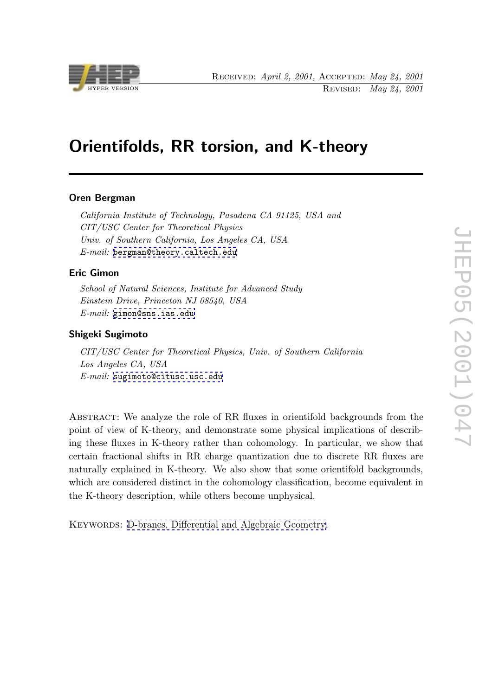

# Orientifolds, RR torsion, and K-theory

### Oren Bergman

California Institute of Technology, Pasadena CA 91125, USA and CIT/USC Center for Theoretical Physics Univ. of Southern California, Los Angeles CA, USA E-mail: bergman@theory.caltech.edu

### Eric Gimon

School o[f Natural Sciences, Institute for](mailto:bergman@theory.caltech.edu) Advanced Study Einstein Drive, Princeton NJ 08540, USA E-mail: gimon@sns.ias.edu

### Shigeki Sugimoto

CIT/US[C Center for Theoret](mailto:gimon@sns.ias.edu)ical Physics, Univ. of Southern California Los Angeles CA, USA E-mail: sugimoto@citusc.usc.edu

Abstract: [We analyze the role of](mailto:sugimoto@citusc.usc.edu) RR fluxes in orientifold backgrounds from the point of view of K-theory, and demonstrate some physical implications of describing these fluxes in K-theory rather than cohomology. In particular, we show that certain fractional shifts in RR charge quantization due to discrete RR fluxes are naturally explained in K-theory. We also show that some orientifold backgrounds, which are considered distinct in the cohomology classification, become equivalent in the K-theory description, while others become unphysical.

KEYWORDS: D-branes, Differential and Algebraic Geometry.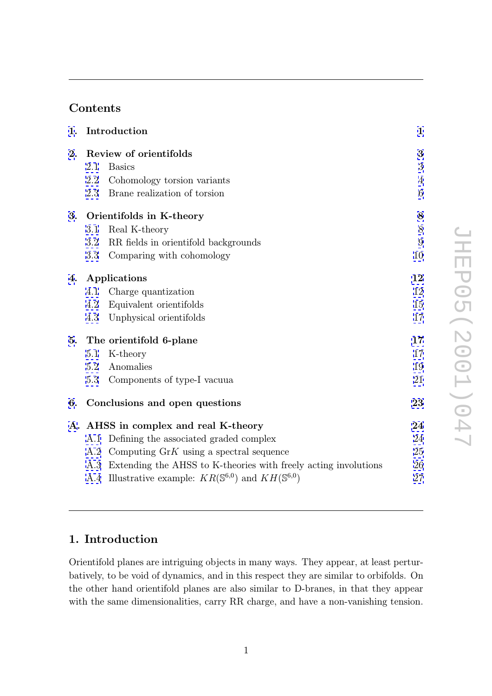# Contents

| 1. |                          | Introduction                                                                | 1               |  |
|----|--------------------------|-----------------------------------------------------------------------------|-----------------|--|
| 2. | Review of orientifolds   |                                                                             |                 |  |
|    | 2.1                      | <b>Basics</b>                                                               | 3               |  |
|    | 2.2                      | Cohomology torsion variants                                                 | 4               |  |
|    | 2.3                      | Brane realization of torsion                                                | 6               |  |
| 3. | Orientifolds in K-theory |                                                                             |                 |  |
|    | 3.1                      | Real K-theory                                                               | 8               |  |
|    | 3.2                      | RR fields in orientifold backgrounds                                        | $9\phantom{.0}$ |  |
|    | 3.3                      | Comparing with cohomology                                                   | 10              |  |
| 4. | Applications             |                                                                             |                 |  |
|    | 4.1                      | Charge quantization                                                         | 12              |  |
|    | 4.2                      | Equivalent orientifolds                                                     | 15              |  |
|    | 4.3                      | Unphysical orientifolds                                                     | 17              |  |
| 5. |                          | The orientifold 6-plane                                                     | 17              |  |
|    | 5.1                      | K-theory                                                                    | 17              |  |
|    | 5.2                      | Anomalies                                                                   | 19              |  |
|    | 5.3                      | Components of type-I vacuua                                                 | 21              |  |
| 6. |                          | Conclusions and open questions                                              | 23              |  |
|    |                          | A. AHSS in complex and real K-theory                                        | 24              |  |
|    | A.1                      | Defining the associated graded complex                                      | 24              |  |
|    | A.2                      | Computing $GrK$ using a spectral sequence                                   | 25              |  |
|    |                          | A.3 Extending the AHSS to K-theories with freely acting involutions         | 26              |  |
|    |                          | A.4 Illustrative example: $KR(\mathbb{S}^{6,0})$ and $KH(\mathbb{S}^{6,0})$ | 27              |  |

# JHEP05(2001)047 JHEP05(2001)047

# 1. Introduction

Orientifold planes are intriguing objects in many ways. They appear, at least perturbatively, to be void of dynamics, and in this respect they are similar to orbifolds. On the other hand orientifold planes are also similar to D-branes, in that they appear with the same dimensionalities, carry RR charge, and have a non-vanishing tension.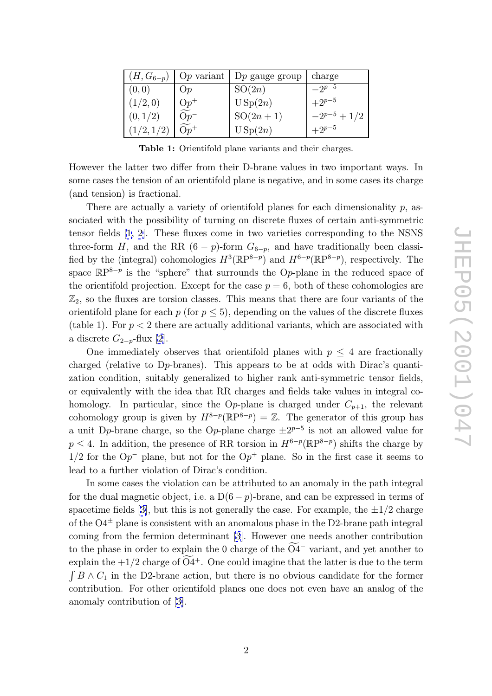<span id="page-2-0"></span>

| $(H, G_{6-p})$ |              | $Op$ variant $Dp$ gauge group | charge         |
|----------------|--------------|-------------------------------|----------------|
| (0, 0)         | $Op^-$       | SO(2n)                        | $-2^{p-5}$     |
| (1/2, 0)       | $Op+$        | USp(2n)                       | $+2^{p-5}$     |
| (0,1/2)        | $Op^{\cdot}$ | $SO(2n+1)$                    | $-2^{p-5}+1/2$ |
|                | $\Omega n^+$ | USp(2n)                       | $+2^{p-5}$     |

Table 1: Orientifold plane variants and their charges.

However the latter two differ from their D-brane values in two important ways. In some cases the tension of an orientifold plane is negative, and in some cases its charge (and tension) is fractional.

There are actually a variety of orientifold planes for each dimensionality  $p$ , associated with the possibility of turning on discrete fluxes of certain anti-symmetric tensor fields [1, 2]. These fluxes come in two varieties corresponding to the NSNS three-form  $H$ , and the RR  $(6-p)$ -form  $G_{6-p}$ , and have traditionally been classified by the (integral) cohomologies  $H^3(\mathbb{R}P^{8-p})$  and  $H^{6-p}(\mathbb{R}P^{8-p})$ , respectively. The space  $\mathbb{R}P^{8-p}$  $\mathbb{R}P^{8-p}$  $\mathbb{R}P^{8-p}$  [is](#page-28-0) the "sphere" that surrounds the Op-plane in the reduced space of the orientifold projection. Except for the case  $p = 6$ , both of these cohomologies are  $\mathbb{Z}_2$ , so the fluxes are torsion classes. This means that there are four variants of the orientifold plane for each  $p$  (for  $p \leq 5$ ), depending on the values of the discrete fluxes (table 1). For  $p < 2$  there are actually additional variants, which are associated with a discrete  $G_{2-p}$ -flux [2].

One immediately observes that orientifold planes with  $p \leq 4$  are fractionally charged (relative to D p-branes). This appears to be at odds with Dirac's quantization condition, sui[ta](#page-28-0)bly generalized to higher rank anti-symmetric tensor fields, or equivalently with the idea that RR charges and fields take values in integral cohomology. In particular, since the Op-plane is charged under  $C_{p+1}$ , the relevant cohomology group is given by  $H^{8-p}(\mathbb{R}P^{8-p}) = \mathbb{Z}$ . The generator of this group has a unit D<sub>*p*</sub>-brane charge, so the O<sub>*p*</sub>-plane charge  $\pm 2^{p-5}$  is not an allowed value for  $p \leq 4$ . In addition, the presence of RR torsion in  $H^{6-p}(\mathbb{R}P^{8-p})$  shifts the charge by  $1/2$  for the  $Op^-$  plane, but not for the  $Op^+$  plane. So in the first case it seems to lead to a further violation of Dirac's condition.

In some cases the violation can be attributed to an anomaly in the path integral for the dual magnetic object, i.e. a  $D(6-p)$ -brane, and can be expressed in terms of spacetime fields [3], but this is not generally the case. For example, the  $\pm 1/2$  charge of the  $O4^{\pm}$  plane is consistent with an anomalous phase in the D2-brane path integral coming from the fermion determinant [3]. However one needs another contribution spacetime fields [3], but this is not generally the case. For example, the  $\pm 1/2$  charge<br>of the O4<sup> $\pm$ </sup> plane is consistent with an anomalous phase in the D2-brane path integral<br>coming from the fermion determinant [3]. of the  $O4^{\pm}$  plane is consistent with an anomalous phase in the D2-brane path integral<br>coming from the fermion determinant [3]. However one needs another contribution<br>to the phase in order to explain the 0 charge of th  $\int B \wedge C_1$  in [th](#page-28-0)e D2-brane action, but there is no obvious candidate for the former contribution. For other orientifold planes one does not even have an analog of the anomaly contribution of [3].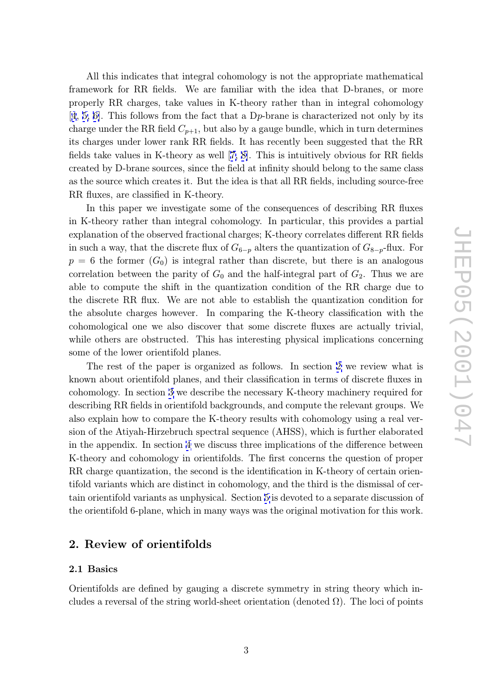<span id="page-3-0"></span>All this indicates that integral cohomology is not the appropriate mathematical framework for RR fields. We are familiar with the idea that D-branes, or more properly RR charges, take values in K-theory rather than in integral cohomology [4, 5, 6]. This follows from the fact that a D p-brane is characterized not only by its charge under the RR field  $C_{p+1}$ , but also by a gauge bundle, which in turn determines its charges under lower rank RR fields. It has recently been suggested that the RR [fie](#page-28-0)l[ds ta](#page-28-0)ke values in K-theory as well [7, 8]. This is intuitively obvious for RR fields created by D-brane sources, since the field at infinity should belong to the same class as the source which creates it. But the idea is that all RR fields, including source-free RR fluxes, are classified in K-theory.

In this paper we investigate some of the consequences of describing RR fluxes in K-theory rather than integral cohomology. In particular, this provides a partial explanation of the observed fractional charges; K-theory correlates different RR fields in such a way, that the discrete flux of  $G_{6-p}$  alters the quantization of  $G_{8-p}$ -flux. For  $p = 6$  the former  $(G_0)$  is integral rather than discrete, but there is an analogous correlation between the parity of  $G_0$  and the half-integral part of  $G_2$ . Thus we are able to compute the shift in the quantization condition of the RR charge due to the discrete RR flux. We are not able to establish the quantization condition for the absolute charges however. In comparing the K-theory classification with the cohomological one we also discover that some discrete fluxes are actually trivial, while others are obstructed. This has interesting physical implications concerning some of the lower orientifold planes.

The rest of the paper is organized as follows. In section 2 we review what is known about orientifold planes, and their classification in terms of discrete fluxes in cohomology. In section 3 we describe the necessary K-theory machinery required for describing RR fields in orientifold backgrounds, and compute the relevant groups. We also explain how to compare the K-theory results with cohomology using a real version of the Atiyah-Hirz[eb](#page-8-0)ruch spectral sequence (AHSS), which is further elaborated in the appendix. In section 4 we discuss three implications of the difference between K-theory and cohomology in orientifolds. The first concerns the question of proper RR charge quantization, the second is the identification in K-theory of certain orientifold variants which are dis[ti](#page-12-0)nct in cohomology, and the third is the dismissal of certain orientifold variants as unphysical. Section 5 is devoted to a separate discussion of the orientifold 6-plane, which in many ways was the original motivation for this work.

### 2. Review of orientifolds

### 2.1 Basics

Orientifolds are defined by gauging a discrete symmetry in string theory which includes a reversal of the string world-sheet orientation (denoted  $\Omega$ ). The loci of points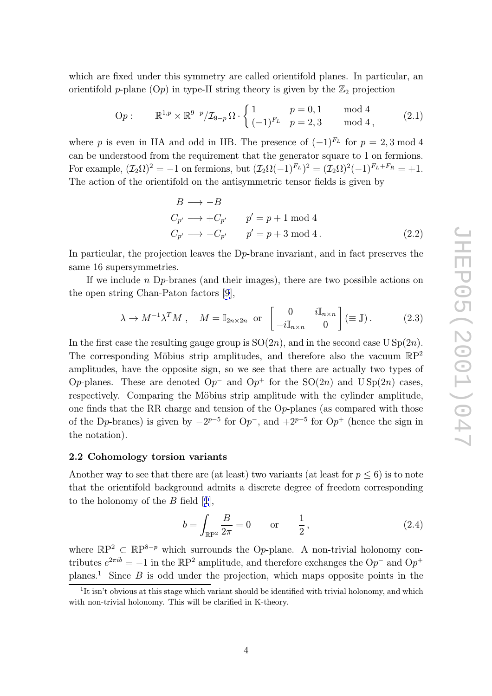<span id="page-4-0"></span>which are fixed under this symmetry are called orientifold planes. In particular, an orientifold *p*-plane  $(Op)$  in type-II string theory is given by the  $\mathbb{Z}_2$  projection

$$
\text{Op}: \qquad \mathbb{R}^{1,p} \times \mathbb{R}^{9-p} / \mathcal{I}_{9-p} \Omega \cdot \begin{cases} 1 & p = 0, 1 \\ (-1)^{F_L} & p = 2, 3 \end{cases} \qquad \text{mod } 4 \,, \tag{2.1}
$$

where p is even in IIA and odd in IIB. The presence of  $(-1)^{F_L}$  for  $p = 2, 3 \mod 4$ can be understood from the requirement that the generator square to 1 on fermions. For example,  $(\mathcal{I}_2 \Omega)^2 = -1$  on fermions, but  $(\mathcal{I}_2 \Omega(-1)^{F_L})^2 = (\mathcal{I}_2 \Omega)^2(-1)^{F_L + F_R} = +1$ . The action of the orientifold on the antisymmetric tensor fields is given by

$$
B \longrightarrow -B
$$
  
\n
$$
C_{p'} \longrightarrow +C_{p'} \qquad p' = p + 1 \mod 4
$$
  
\n
$$
C_{p'} \longrightarrow -C_{p'} \qquad p' = p + 3 \mod 4.
$$
\n(2.2)

In particular, the projection leaves the D<sub>P</sub>-brane invariant, and in fact preserves the same 16 supersymmetries.

If we include n D p-branes (and their images), there are two possible actions on the open string Chan-Paton factors [9],

$$
\lambda \to M^{-1} \lambda^T M \,, \quad M = \mathbb{I}_{2n \times 2n} \text{ or } \begin{bmatrix} 0 & i\mathbb{I}_{n \times n} \\ -i\mathbb{I}_{n \times n} & 0 \end{bmatrix} (\equiv \mathbb{J}) \,. \tag{2.3}
$$

In the first case the resulting gauge g[rou](#page-29-0)p is  $SO(2n)$ , and in the second case  $USp(2n)$ . The corresponding Möbius strip amplitudes, and therefore also the vacuum  $\mathbb{R}P^2$ amplitudes, have the opposite sign, so we see that there are actually two types of Op-planes. These are denoted Op<sup>-</sup> and Op<sup>+</sup> for the SO(2n) and U Sp(2n) cases, respectively. Comparing the Möbius strip amplitude with the cylinder amplitude, one finds that the RR charge and tension of the O p-planes (as compared with those of the D<sub>p</sub>-branes) is given by  $-2^{p-5}$  for  $Op^{-}$ , and  $+2^{p-5}$  for  $Op^{+}$  (hence the sign in the notation).

### 2.2 Cohomology torsion variants

Another way to see that there are (at least) two variants (at least for  $p \leq 6$ ) is to note that the orientifold background admits a discrete degree of freedom corresponding to the holonomy of the  $B$  field  $[1]$ ,  $\begin{bmatrix} \text{even} \ \text{odd} \end{bmatrix}$ <br> $\begin{bmatrix} b = \end{bmatrix}$ 

$$
b = \int_{\mathbb{R}P^2} \frac{B}{2\pi} = 0 \quad \text{or} \quad \frac{1}{2},
$$
 (2.4)

where  $\mathbb{R}P^2 \subset \mathbb{R}P^{8-p}$  which sur[ro](#page-28-0)unds the Op-plane. A non-trivial holonomy contributes  $e^{2\pi ib} = -1$  in the RP<sup>2</sup> amplitude, and therefore exchanges the Op<sup>-</sup> and Op<sup>+</sup> planes.<sup>1</sup> Since  $B$  is odd under the projection, which maps opposite points in the

 $1$ <sup>1</sup>It isn't obvious at this stage which variant should be identified with trivial holonomy, and which with non-trivial holonomy. This will be clarified in K-theory.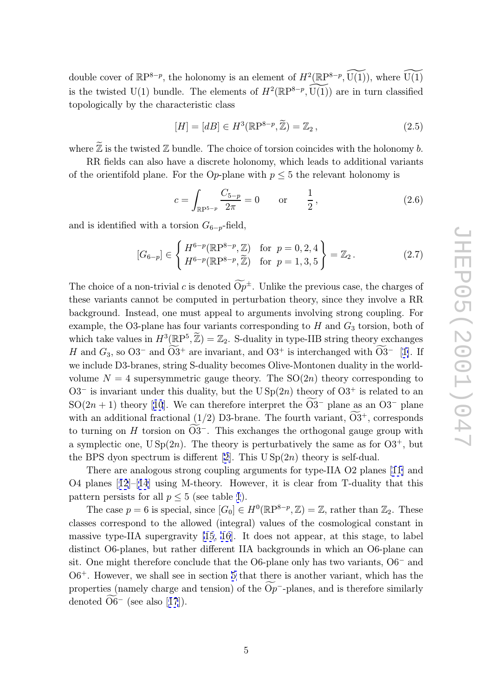double cover of  $\mathbb{R}P^{8-p}$ , the holonomy is an element of  $H^2(\mathbb{R}P^{8-p}, \widetilde{U(1)})$ , where  $\widetilde{U(1)}$ fracture to the twisted U(1) bundle. The elements of  $H^2(\mathbb{R}P^{8-p}, \overline{U(1)})$  are in turn classified<br>topologically by the characteristic class<br> $[H] = [dB] \in H^3(\mathbb{R}P^{8-p}, \mathbb{Z}) = \mathbb{Z}_2,$  (2.5) topologically by the characteristic class

$$
[H] = [dB] \in H^3(\mathbb{R}P^{8-p}, \widetilde{\mathbb{Z}}) = \mathbb{Z}_2,
$$
\n
$$
(2.5)
$$

topologically by the characteristic class<br>  $[H] = [dB] \in H^3(\mathbb{R}P^{8-p}, \tilde{\mathbb{Z}}) = \mathbb{Z}_2$ , (2.5)<br>
where  $\tilde{\mathbb{Z}}$  is the twisted  $\mathbb Z$  bundle. The choice of torsion coincides with the holonomy *b*.

RR fields can also have a discrete holonomy, which leads to additional variants of the orientifold plane. For the Op-plane with  $p \leq 5$  the relevant holonomy is

$$
c = \int_{\mathbb{R}P^{5-p}} \frac{C_{5-p}}{2\pi} = 0 \quad \text{or} \quad \frac{1}{2}, \tag{2.6}
$$

and is identified with a torsion  $G_{6-p}$ -field,

and is identified with a torsion 
$$
G_{6-p}
$$
-field,  
\n
$$
[G_{6-p}] \in \begin{cases} H^{6-p}(\mathbb{R}P^{8-p}, \mathbb{Z}) & \text{for } p = 0, 2, 4 \\ H^{6-p}(\mathbb{R}P^{8-p}, \mathbb{Z}) & \text{for } p = 1, 3, 5 \end{cases} = \mathbb{Z}_2.
$$
\n(2.7)  
\nThe choice of a non-trivial c is denoted  $\widetilde{Op}^{\pm}$ . Unlike the previous case, the charges of

these variants cannot be computed in perturbation theory, since they involve a RR background. Instead, one must appeal to arguments involving strong coupling. For example, the O3-plane has four variants corresponding to  $H$  and  $G_3$  torsion, both of these variants cannot be computed in perturbation theory, since they involve a RR<br>background. Instead, one must appeal to arguments involving strong coupling. For<br>example, the O3-plane has four variants corresponding to H H and  $G_3$ , so  $O3^-$  and  $\widetilde{O3}^+$  are invariant, and  $O3^+$  is interchanged with  $\widetilde{O3}^-$  [1]. If ead, one must appeal to arguments involving strong coupl<br>plane has four variants corresponding to H and  $G_3$  torsion<br>i in  $H^3(\mathbb{R}P^5, \mathbb{Z}) = \mathbb{Z}_2$ . S-duality in type-IIB string theory ex<br>- and  $\widetilde{O}3^+$  are invar we include D3-branes, string S-duality becomes Olive-Montonen duality in the worldvolume  $N = 4$  supersymmetric gauge theory. The  $SO(2n)$  theory corresponding to O3<sup>-</sup> is invariant under this duality, but the  $USp(2n)$  theory of O3<sup>+</sup> is related [to](#page-28-0) an  $SO(2n+1)$  theory [10]. We can therefore interpret the O3<sup>-</sup> plane as an O3<sup>-</sup> plane clude D3-branes, string S-duality becomes Olive-Montone  $N = 4$  supersymmetric gauge theory. The SO(2*n*) is invariant under this duality, but the U Sp(2*n*) theor  $n + 1$ ) theory [10]. We can therefore interpret the  $\widetilde{$ volume  $N = 4$  supersymmetric gauge theory. The SO(2n) theory co<br>O3<sup>-</sup> is invariant under this duality, but the USp(2n) theory of O3<sup>+</sup> i<br>SO(2n + 1) theory [10]. We can therefore interpret the  $\widetilde{O3}^-$  plane as<br>with an with an additional fractional  $(1/2)$  D3-brane. The fourth variant,  $O3^+$ , corresponds to turning on  $H$  torsion on  $O3^-$ . This exchanges the orthogonal gauge group with In the under this dua<br>
eory [10]. We can<br>
onal fractional (1<br>
H torsion on  $\overline{O3}$ a symplectic one,  $USp(2n)$ . The theory is perturbatively the same as for  $O3^+$ , but the BPS dyon spectrum is different [2]. This  $USp(2n)$  theory is self-dual.

There are analogous strong coupling arguments for type-IIA O2 planes [11] and O4 planes  $[12]$ – $[14]$  using M-theory. However, it is clear from T-duality that this pattern persists for all  $p \leq 5$  (see ta[ble](#page-28-0) 1).

The case  $p = 6$  is special, since  $[G_0] \in H^0(\mathbb{R}P^{8-p}, \mathbb{Z}) = \mathbb{Z}$ , rather than  $\mathbb{Z}_2$ [. T](#page-29-0)hese classes corr[esp](#page-29-0)o[nd](#page-29-0) to the allowed (integral) values of the cosmological constant in massive type-IIA supergravity [15, 16]. It does not appear, at this stage, to label distinct O6-planes, but rather different IIA backgrounds in which an O6-plane can sit. One might therefore conclude that the O6-plane only has two variants, O6<sup>-</sup> and O6<sup>+</sup>. However, we shall see in s[ect](#page-29-0)i[on](#page-29-0) 5 that there is another variant, which has the distinct O6-planes, but rather different IIA backgrounds in which an O6-plane can<br>sit. One might therefore conclude that the O6-plane only has two variants, O6<sup>-</sup> and<br>O6<sup>+</sup>. However, we shall see in section 5 that there i sit. One might.<br>O6<sup>+</sup>. Howe<br>properties (<br>denoted O6 denoted  $O6^-$  (see also [17]).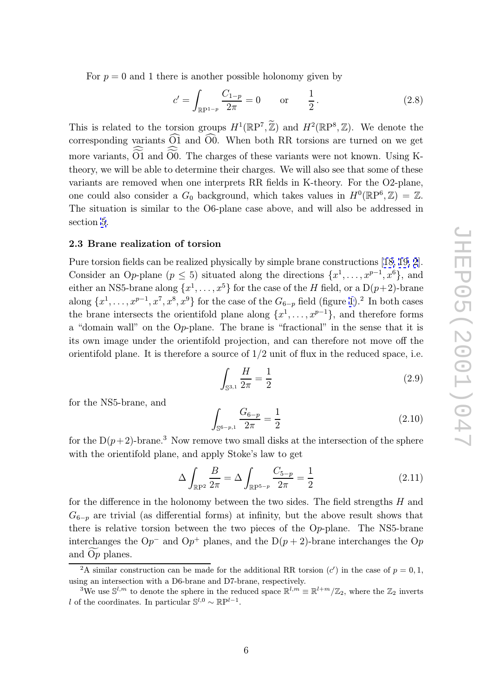For  $p = 0$  and 1 there is another possible holonomy given by

<span id="page-6-0"></span>For 
$$
p = 0
$$
 and 1 there is another possible holonomy given by  
\n
$$
c' = \int_{\mathbb{R}\mathbb{P}^{1-p}} \frac{C_{1-p}}{2\pi} = 0 \quad \text{or} \quad \frac{1}{2}.
$$
\n(2.8)  
\nThis is related to the torsion groups  $H^1(\mathbb{R}\mathbb{P}^7, \tilde{\mathbb{Z}})$  and  $H^2(\mathbb{R}\mathbb{P}^8, \mathbb{Z})$ . We denote the

 $c' = \int_{\mathbb{R}P^{1-p}} \frac{C_{1-p}}{2\pi} = 0$  or  $\frac{1}{2}$ . (2.8)<br>This is related to the torsion groups  $H^1(\mathbb{R}P^7, \mathbb{Z})$  and  $H^2(\mathbb{R}P^8, \mathbb{Z})$ . We denote the<br>corresponding variants  $\widehat{O1}$  and  $\widehat{O0}$ . When both RR tor This is related to the torsion groups  $H^1(\mathbb{R}P^7, \mathbb{Z})$  and  $H^2(\mathbb{R}P^8, \mathbb{Z})$ . We denote the corresponding variants  $\widehat{O}1$  and  $\widehat{O}0$ . When both RR torsions are turned on we get more variants,  $\widehat{O1}$  and theory, we will be able to determine their charges. We will also see that some of these variants are removed when one interprets RR fields in K-theory. For the O2-plane, one could also consider a  $G_0$  background, which takes values in  $H^0(\mathbb{R}P^6, \mathbb{Z}) = \mathbb{Z}$ . The situation is similar to the O6-plane case above, and will also be addressed in section 5.

### 2.3 Brane realization of torsion

Pure to[rs](#page-17-0)ion fields can be realized physically by simple brane constructions [18, 19, 2]. Consider an Op-plane ( $p \leq 5$ ) situated along the directions  $\{x^1, \ldots, x^{p-1}, x^6\}$ , and either an NS5-brane along  $\{x^1, \ldots, x^5\}$  for the case of the H field, or a  $D(p+2)$ -brane along  $\{x^1, \ldots, x^{p-1}, x^7, x^8, x^9\}$  for the ca[se](#page-28-0) of the  $G_{6-p}$  field (figure 1).<sup>2</sup> In [both ca](#page-29-0)ses the brane intersects the orientifold plane along  $\{x^1, \ldots, x^{p-1}\}$ , and therefore forms a "domain wall" on the Op-plane. The brane is "fractional" in the sense that it is<br>its own image under the orientifold projection, and can therefore not move off the<br>orientifold plane. It is therefore a source of  $1/2$  un its own image under the orientifold projection, and can therefore [n](#page-7-0)ot move off the

$$
\int_{\mathbb{S}^{3,1}} \frac{H}{2\pi} = \frac{1}{2}
$$
\n(2.9)

for the NS5-brane, and

$$
\int_{\mathbb{S}^{6-p,1}} \frac{G_{6-p}}{2\pi} = \frac{1}{2}
$$
\n(2.10)

for the  $D(p+2)$ -brane.<sup>3</sup> Now remove two small disks at the intersection of the sphere with the orientifold plane, and apply Stoke's law to get ow z<br>and<br> $\Delta$  |

$$
\Delta \int_{\mathbb{R}P^2} \frac{B}{2\pi} = \Delta \int_{\mathbb{R}P^{5-p}} \frac{C_{5-p}}{2\pi} = \frac{1}{2}
$$
\n(2.11)

for the difference in the holonomy between the two sides. The field strengths  $H$  and  $G_{6-p}$  are trivial (as differential forms) at infinity, but the above result shows that there is relative torsion between the two pieces of the Op-plane. The NS5-brane interchanges the Op<sup>-</sup> and Op<sup>+</sup> planes, and the D(p there is relative torsion between the two pieces of the O p-plane. The NS5-brane interchanges the  $\mathcal{O}p^{-}$  and  $\mathcal{O}p^{+}$  planes, and the  $D(p+2)$ -brane interchanges the  $\mathcal{O}p$ and  $Op$  planes.

<sup>&</sup>lt;sup>2</sup>A similar construction can be made for the additional RR torsion  $(c')$  in the case of  $p = 0, 1$ , using an intersection with a D6-brane and D7-brane, respectively.

<sup>&</sup>lt;sup>3</sup>We use  $\mathbb{S}^{l,m}$  to denote the sphere in the reduced space  $\mathbb{R}^{l,m} \equiv \mathbb{R}^{l+m}/\mathbb{Z}_2$ , where the  $\mathbb{Z}_2$  inverts l of the coordinates. In particular  $\mathbb{S}^{l,0} \sim \mathbb{R}P^{l-1}$ .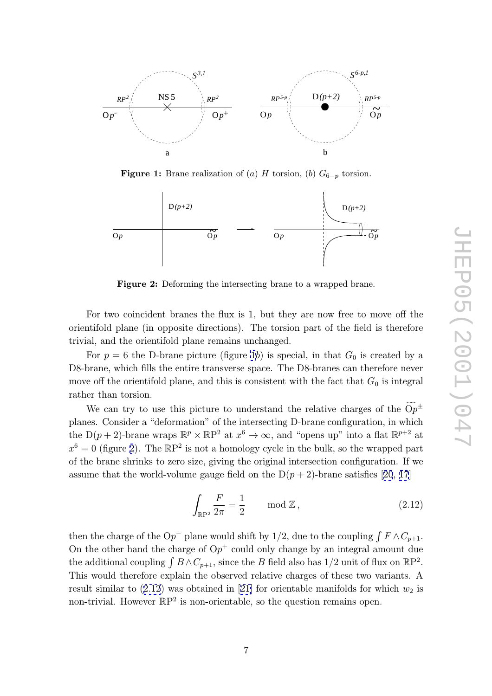<span id="page-7-0"></span>

**Figure 1:** Brane realization of (a)  $H$  torsion, (b)  $G_{6-p}$  torsion.



Figure 2: Deforming the intersecting brane to a wrapped brane.

For two coincident branes the flux is 1, but they are now free to move off the orientifold plane (in opposite directions). The torsion part of the field is therefore trivial, and the orientifold plane remains unchanged.

For  $p = 6$  the D-brane picture (figure 1b) is special, in that  $G_0$  is created by a D8-brane, which fills the entire transverse space. The D8-branes can therefore never<br>move off the orientifold plane, and this is consistent with the fact that  $G_0$  is integral<br>rather than torsion.<br>We can try to use this move off the orientifold plane, and this is consistent with the fact that  $G_0$  is integral rather than torsion.

We can try to use this picture to understand the relative charges of the  $Op^{\pm}$ planes. Consider a "deformation" of the intersecting D-brane configuration, in which the D(p + 2)-brane wraps  $\mathbb{R}^p \times \mathbb{R}P^2$  at  $x^6 \to \infty$ , and "opens up" into a flat  $\mathbb{R}^{p+2}$  at  $x^6 = 0$  (figure 2). The  $\mathbb{R}P^2$  is not a homology cycle in the bulk, so the wrapped part of the brane shrinks to zero size, giving the original intersection configuration. If we assume that the world-volume gauge field on the  $D(p+2)$ -brane satisfies [20, 17]

$$
\int_{\mathbb{R}\mathbb{P}^2} \frac{F}{2\pi} = \frac{1}{2} \quad \text{mod } \mathbb{Z},\tag{2.12}
$$

then the charge of the Op<sup>-</sup> plane would shift by 1/2, due to the coupling  $\int F \wedge C_{p+1}$ . On the other hand the charge of  $\mathbf{O}p^+$  could only change by an integral amount due the additional coupling  $\int B \wedge C_{p+1}$ , since the B field also has 1/2 unit of flux on  $\mathbb{R}P^2$ . This would therefore explain the observed relative charges of these two variants. A result similar to  $(2.12)$  was obtained in [21] for orientable manifolds for which  $w_2$  is non-trivial. However  $\mathbb{R}P^2$  is non-orientable, so the question remains open.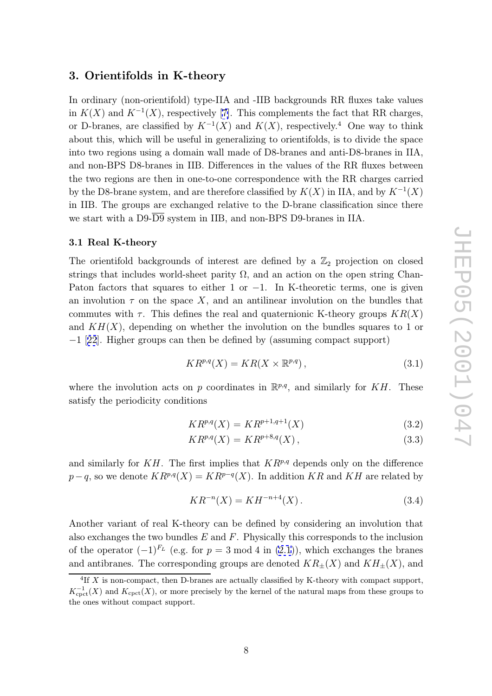### <span id="page-8-0"></span>3. Orientifolds in K-theory

In ordinary (non-orientifold) type-IIA and -IIB backgrounds RR fluxes take values in  $K(X)$  and  $K^{-1}(X)$ , respectively [7]. This complements the fact that RR charges, or D-branes, are classified by  $K^{-1}(X)$  and  $K(X)$ , respectively.<sup>4</sup> One way to think about this, which will be useful in generalizing to orientifolds, is to divide the space into two regions using a domain wal[l](#page-29-0) made of D8-branes and anti-D8-branes in IIA, and non-BPS D8-branes in IIB. Differences in the values of the RR fluxes between the two regions are then in one-to-one correspondence with the RR charges carried by the D8-brane system, and are therefore classified by  $K(X)$  in IIA, and by  $K^{-1}(X)$ in IIB. The groups are exchanged relative to the D-brane classification since there we start with a D9-D9 system in IIB, and non-BPS D9-branes in IIA.

### 3.1 Real K-theory

The orientifold backgrounds of interest are defined by a  $\mathbb{Z}_2$  projection on closed strings that includes world-sheet parity  $\Omega$ , and an action on the open string Chan-Paton factors that squares to either 1 or  $-1$ . In K-theoretic terms, one is given an involution  $\tau$  on the space X, and an antilinear involution on the bundles that commutes with  $\tau$ . This defines the real and quaternionic K-theory groups  $KR(X)$ and  $KH(X)$ , depending on whether the involution on the bundles squares to 1 or −1 [22]. Higher groups can then be defined by (assuming compact support)

$$
KR^{p,q}(X) = KR(X \times \mathbb{R}^{p,q}), \qquad (3.1)
$$

whe[re](#page-29-0) the involution acts on p coordinates in  $\mathbb{R}^{p,q}$ , and similarly for KH. These satisfy the periodicity conditions

$$
KR^{p,q}(X) = KR^{p+1,q+1}(X)
$$
\n(3.2)

$$
KR^{p,q}(X) = KR^{p+8,q}(X), \qquad (3.3)
$$

and similarly for  $KH$ . The first implies that  $KR^{p,q}$  depends only on the difference  $p-q$ , so we denote  $KR^{p,q}(X) = KR^{p-q}(X)$ . In addition KR and KH are related by

$$
KR^{-n}(X) = KH^{-n+4}(X).
$$
\n(3.4)

Another variant of real K-theory can be defined by considering an involution that also exchanges the two bundles  $E$  and  $F$ . Physically this corresponds to the inclusion of the operator  $(-1)^{F_L}$  (e.g. for  $p = 3 \mod 4$  in  $(2.1)$ ), which exchanges the branes and antibranes. The corresponding groups are denoted  $KR_{\pm}(X)$  and  $KH_{\pm}(X)$ , and

 ${}^{4}$ If X is non-compact, then D-branes are actually classified by K-theory with compact support,  $K_{\text{cpt}}^{-1}(X)$  and  $K_{\text{cpt}}(X)$ , or more precisely by the kernel o[f th](#page-4-0)e natural maps from these groups to the ones without compact support.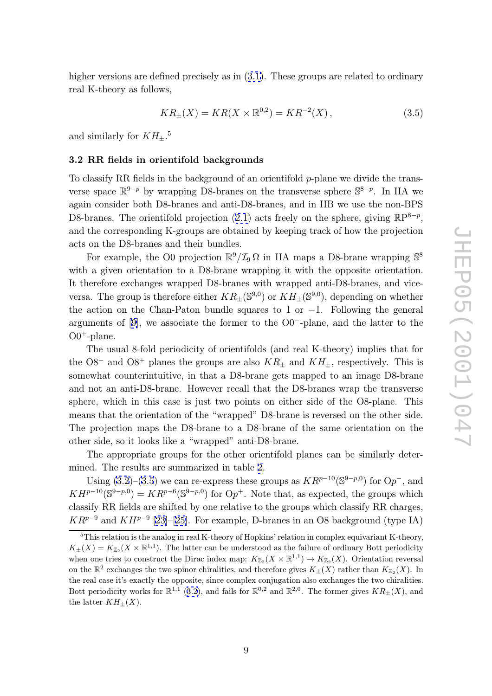<span id="page-9-0"></span>higher versions are defined precisely as in  $(3.1)$ . These groups are related to ordinary real K-theory as follows,

$$
KR_{\pm}(X) = KR(X \times \mathbb{R}^{0,2}) = KR^{-2}(X), \qquad (3.5)
$$

and similarly for  $KH_{\pm}.^5$ 

### 3.2 RR fields in orientifold backgrounds

To classify RR fields in the background of an orientifold p-plane we divide the transverse space  $\mathbb{R}^{9-p}$  by wrapping D8-branes on the transverse sphere  $\mathbb{S}^{8-p}$ . In IIA we again consider both D8-branes and anti-D8-branes, and in IIB we use the non-BPS D8-branes. The orientifold projection (2.1) acts freely on the sphere, giving  $\mathbb{R}P^{8-p}$ , and the corresponding K-groups are obtained by keeping track of how the projection acts on the D8-branes and their bundles.

For example, the O0 projection  $\mathbb{R}^9/\mathcal{I}_9\Omega$  $\mathbb{R}^9/\mathcal{I}_9\Omega$  $\mathbb{R}^9/\mathcal{I}_9\Omega$  in IIA maps a D8-brane wrapping  $\mathbb{S}^8$ with a given orientation to a D8-brane wrapping it with the opposite orientation. It therefore exchanges wrapped D8-branes with wrapped anti-D8-branes, and viceversa. The group is therefore either  $KR_{+}(\mathbb{S}^{9,0})$  or  $KH_{+}(\mathbb{S}^{9,0})$ , depending on whether the action on the Chan-Paton bundle squares to 1 or  $-1$ . Following the general arguments of [9], we associate the former to the O0 <sup>−</sup>-plane, and the latter to the  $00<sup>+</sup>$ -plane.

The usual 8-fold periodicity of orientifolds (and real K-theory) implies that for the [O8](#page-29-0)<sup>-</sup> and O8<sup>+</sup> planes the groups are also  $KR_{\pm}$  and  $KH_{\pm}$ , respectively. This is somewhat counterintuitive, in that a D8-brane gets mapped to an image D8-brane and not an anti-D8-brane. However recall that the D8-branes wrap the transverse sphere, which in this case is just two points on either side of the O8-plane. This means that the orientation of the "wrapped" D8-brane is reversed on the other side. The projection maps the D8-brane to a D8-brane of the same orientation on the other side, so it looks like a "wrapped" anti-D8-brane.

The appropriate groups for the other orientifold planes can be similarly determined. The results are summarized in table 2.

Using  $(3.2)$ – $(3.5)$  we can re-express these groups as  $KR^{p-10}(\mathbb{S}^{9-p,0})$  for  $Op^-$ , and  $KH^{p-10}(\mathbb{S}^{9-p,0}) = KR^{p-6}(\mathbb{S}^{9-p,0})$  for  $Op^+$ . Note that, as expected, the groups which classify RR fields are shifted by one relative [to](#page-10-0) the groups which classify RR charges,  $KR^{p-9}$  and  $KH^{p-9}$  $KH^{p-9}$  [23]–[25]. For example, D-branes in an O8 background (type IA)

<sup>&</sup>lt;sup>5</sup>This relation is the analog in real K-theory of Hopkins' relation in complex equivariant K-theory,  $K_{\pm}(X) = K_{\mathbb{Z}_2}(X \times \mathbb{R}^{1,1})$ . The latter can be understood as the failure of ordinary Bott periodicity when one tries to const[ruct](#page-29-0) t[he D](#page-30-0)irac index map:  $K_{\mathbb{Z}_2}(X \times \mathbb{R}^{1,1}) \to K_{\mathbb{Z}_2}(X)$ . Orientation reversal on the  $\mathbb{R}^2$  exchanges the two spinor chiralities, and therefore gives  $K_{\pm}(X)$  rather than  $K_{\mathbb{Z}_2}(X)$ . In the real case it's exactly the opposite, since complex conjugation also exchanges the two chiralities. Bott periodicity works for  $\mathbb{R}^{1,1}$  (3.2), and fails for  $\mathbb{R}^{0,2}$  and  $\mathbb{R}^{2,0}$ . The former gives  $KR_{\pm}(X)$ , and the latter  $KH_{\pm}(X)$ .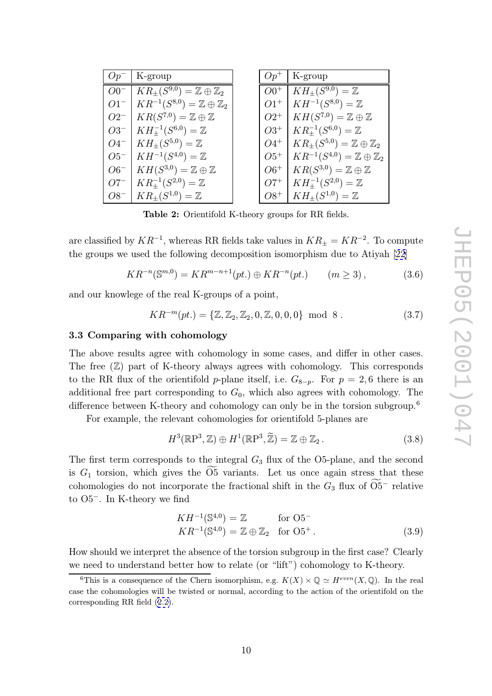<span id="page-10-0"></span>

|        | $Op^-$   K-group                                               | $Op^+$ | K-group                                               |
|--------|----------------------------------------------------------------|--------|-------------------------------------------------------|
|        | $O0^-$   $KR_{\pm}(S^{9,0}) = \mathbb{Z} \oplus \mathbb{Z}_2$  | $OO^+$ | $KH_{\pm}(S^{9,0})=\overline{\mathbb{Z}}$             |
|        | $O1^{-}$   $KR^{-1}(S^{8,0}) = \mathbb{Z} \oplus \mathbb{Z}_2$ | $O1^+$ | $KH^{-1}(S^{8,0}) = \mathbb{Z}$                       |
|        | $O2^{-}$   $KR(S^{7,0}) = \mathbb{Z} \oplus \mathbb{Z}$        |        | $O2^+$   $KH(S^{7,0}) = \mathbb{Z} \oplus \mathbb{Z}$ |
|        | $O3^{-}$   $KH_{\pm}^{-1}(S^{6,0}) = \mathbb{Z}$               | $O3^+$ | $KR_+^{-1}(S^{6,0}) = \mathbb{Z}$                     |
|        | $O4^{-}$   $KH_{\pm}(S^{5,0}) = \mathbb{Z}$                    | $O4^+$ | $KR_{\pm}(S^{5,0})=\mathbb{Z}\oplus\mathbb{Z}_2$      |
|        | $O5^{-}$   $KH^{-1}(S^{4,0}) = \mathbb{Z}$                     | $O5^+$ | $KR^{-1}(S^{4,0}) = \mathbb{Z} \oplus \mathbb{Z}_2$   |
|        | $O6^{-}$   $KH(S^{3,0}) = \mathbb{Z} \oplus \mathbb{Z}$        | $O6^+$ | $KR(S^{3,0}) = \mathbb{Z} \oplus \mathbb{Z}$          |
| $O7^-$ | $KR_{\pm}^{-1}(S^{2,0}) = \mathbb{Z}$                          | $O7^+$ | $KH_{\pm}^{-1}(S^{2,0})=\mathbb{Z}$                   |
|        | $OS^{-}$   $KR_{\pm}(S^{1,0}) = \mathbb{Z}$                    | $O8^+$ | $KH_{\pm}(S^{1,0})=\mathbb{Z}$                        |

Table 2: Orientifold K-theory groups for RR fields.

are classified by  $KR^{-1}$ , whereas RR fields take values in  $KR_{\pm} = KR^{-2}$ . To compute the groups we used the following decomposition isomorphism due to Atiyah [22]

$$
KR^{-n}(\mathbb{S}^{m,0}) = KR^{m-n+1}(pt.) \oplus KR^{-n}(pt.) \qquad (m \ge 3), \tag{3.6}
$$

and our knowlege of the real K-groups of a point,

$$
KR^{-m}(pt.) = \{ \mathbb{Z}, \mathbb{Z}_2, \mathbb{Z}_2, 0, \mathbb{Z}, 0, 0, 0 \} \mod 8 . \tag{3.7}
$$

### 3.3 Comparing with cohomology

The above results agree with cohomology in some cases, and differ in other cases. The free ( Z) part of K-theory always agrees with cohomology. This corresponds to the RR flux of the orientifold p-plane itself, i.e.  $G_{8-p}$ . For  $p = 2, 6$  there is an additional free part corresponding to  $G_0$ , which also agrees with cohomology. The difference between K-theory and cohomology can only be in the torsion subgroup.<sup>6</sup> responding to  $G_0$ , which also agrees with cohomology. The<br>heory and cohomology can only be in the torsion subgroup.<sup>6</sup><br>levant cohomologies for orientifold 5-planes are<br> $H^3(\mathbb{R}P^3, \mathbb{Z}) \oplus H^1(\mathbb{R}P^3, \mathbb{Z}) = \mathbb{Z} \opl$ 

For example, the relevant cohomologies for orientifold 5-planes are

$$
H^{3}(\mathbb{R}\mathbf{P}^{3},\mathbb{Z})\oplus H^{1}(\mathbb{R}\mathbf{P}^{3},\widetilde{\mathbb{Z}})=\mathbb{Z}\oplus\mathbb{Z}_{2}.
$$
\n(3.8)

The first term corresponds to the integral  $G_3$  flux of the O5-plane, and the second  $H^3(\mathbb{R}P^3, \mathbb{Z}) \oplus H^1(\mathbb{R}P^3, \widetilde{\mathbb{Z}}) = \mathbb{Z} \oplus \mathbb{Z}_2.$  (3.8)<br>The first term corresponds to the integral  $G_3$  flux of the O5-plane, and the second<br>is  $G_1$  torsion, which gives the  $\widetilde{O5}$  variants. Let us  $H^3(\mathbb{R}P^3, \mathbb{Z}) \oplus H^1(\mathbb{R}P^3, \mathbb{Z}) = \mathbb{Z} \oplus \mathbb{Z}_2$ . (3.8)<br>The first term corresponds to the integral  $G_3$  flux of the O5-plane, and the second<br>is  $G_1$  torsion, which gives the  $\overline{O5}$  variants. Let us once a to O5 <sup>−</sup>. In K-theory we find

$$
KH^{-1}(\mathbb{S}^{4,0}) = \mathbb{Z} \quad \text{for } O5^- KR^{-1}(\mathbb{S}^{4,0}) = \mathbb{Z} \oplus \mathbb{Z}_2 \quad \text{for } O5^+ .
$$
 (3.9)

How should we interpret the absence of the torsion subgroup in the first case? Clearly we need to understand better how to relate (or "lift") cohomology to K-theory.

<sup>&</sup>lt;sup>6</sup>This is a consequence of the Chern isomorphism, e.g.  $K(X) \times \mathbb{Q} \simeq H^{even}(X, \mathbb{Q})$ . In the real case the cohomologies will be twisted or normal, according to the action of the orientifold on the corresponding RR field (2.2).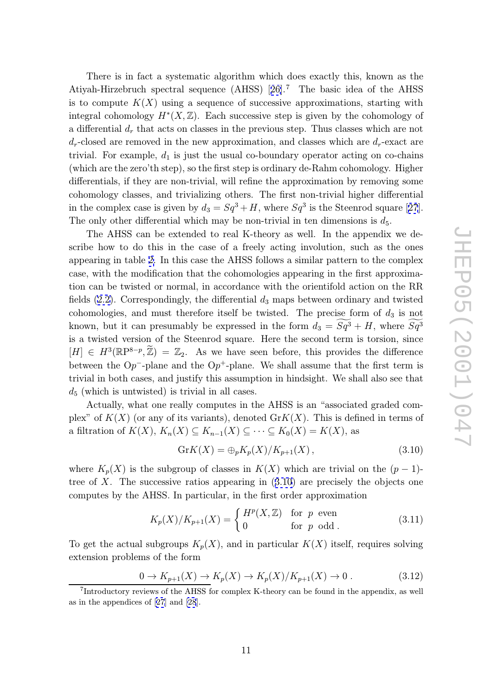There is in fact a systematic algorithm which does exactly this, known as the Atiyah-Hirzebruch spectral sequence (AHSS) [26]. <sup>7</sup> The basic idea of the AHSS is to compute  $K(X)$  using a sequence of successive approximations, starting with integral cohomology  $H^*(X,\mathbb{Z})$ . Each successive step is given by the cohomology of a differential  $d_r$  that acts on classes in the previ[ous](#page-30-0) step. Thus classes which are not  $d_r$ -closed are removed in the new approximation, and classes which are  $d_r$ -exact are trivial. For example,  $d_1$  is just the usual co-boundary operator acting on co-chains (which are the zero'th step), so the first step is ordinary de-Rahm cohomology. Higher differentials, if they are non-trivial, will refine the approximation by removing some cohomology classes, and trivializing others. The first non-trivial higher differential in the complex case is given by  $d_3 = Sq^3 + H$ , where  $Sq^3$  is the Steenrod square [27]. The only other differential which may be non-trivial in ten dimensions is  $d_5$ .

The AHSS can be extended to real K-theory as well. In the appendix we describe how to do this in the case of a freely acting involution, such as the [one](#page-30-0)s appearing in table 2. In this case the AHSS follows a similar pattern to the complex case, with the modification that the cohomologies appearing in the first approximation can be twisted or normal, in accordance with the orientifold action on the RR fields  $(2.2)$ . Corres[po](#page-10-0)ndingly, the differential  $d_3$  maps between ordinary and twisted cohomologies, and must therefore itself be twisted. The precise form of  $d_3$  is not tion can be twisted or normal, in accordance with the orientifold action on the RR<br>fields (2.2). Correspondingly, the differential  $d_3$  maps between ordinary and twisted<br>cohomologies, and must therefore itself be twisted is a t[wiste](#page-4-0)d version of the Steenrod square. Here the second term is torsion, since  $[H] \in H^3(\mathbb{R}P^{8-p}, \mathbb{Z}) = \mathbb{Z}_2$ . As we have seen before, this provides the difference between the  $Op^-$ -plane and the  $Op^+$ -plane. We shall assume that the first term is trivial in both cases, and justify this assumption in hindsight. We shall also see that  $d_5$  (which is untwisted) is trivial in all cases.

Actually, what one really computes in the AHSS is an "associated graded complex" of  $K(X)$  (or any of its variants), denoted  $GrK(X)$ . This is defined in terms of a filtration of  $K(X)$ ,  $K_n(X) \subseteq K_{n-1}(X) \subseteq \cdots \subseteq K_0(X) = K(X)$ , as

$$
GrK(X) = \bigoplus_{p} K_{p}(X) / K_{p+1}(X) , \qquad (3.10)
$$

where  $K_p(X)$  is the subgroup of classes in  $K(X)$  which are trivial on the  $(p-1)$ -<br>tree of X. The successive ratios appearing in (3.10) are precisely the objects one<br>computes by the AHSS. In particular, in the first order tree of X. The successive ratios appearing in (3.10) are precisely the objects one computes by the AHSS. In particular, in the first order approximation

$$
K_p(X)/K_{p+1}(X) = \begin{cases} H^p(X, \mathbb{Z}) & \text{for } p \text{ even} \\ 0 & \text{for } p \text{ odd.} \end{cases}
$$
 (3.11)

To get the actual subgroups  $K_p(X)$ , and in particular  $K(X)$  itself, requires solving extension problems of the form

$$
0 \to K_{p+1}(X) \to K_p(X) \to K_p(X)/K_{p+1}(X) \to 0.
$$
 (3.12)

<sup>7</sup>Introductory reviews of the AHSS for complex K-theory can be found in the appendix, as well as in the appendices of [27] and [28].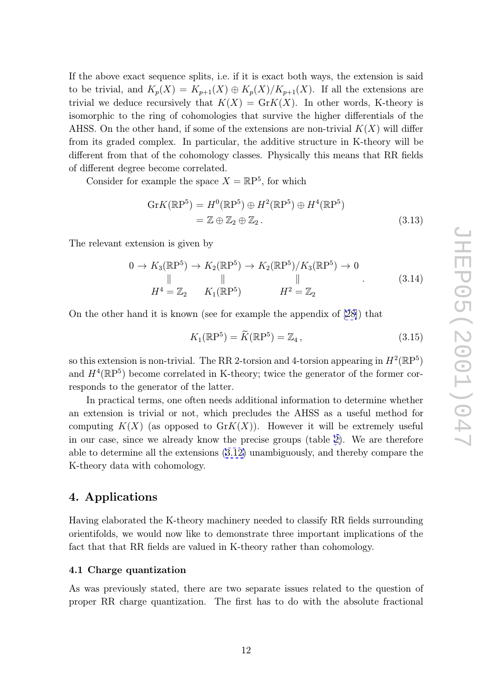<span id="page-12-0"></span>If the above exact sequence splits, i.e. if it is exact both ways, the extension is said to be trivial, and  $K_p(X) = K_{p+1}(X) \oplus K_p(X)/K_{p+1}(X)$ . If all the extensions are trivial we deduce recursively that  $K(X) = \text{Gr}(X)$ . In other words, K-theory is isomorphic to the ring of cohomologies that survive the higher differentials of the AHSS. On the other hand, if some of the extensions are non-trivial  $K(X)$  will differ from its graded complex. In particular, the additive structure in K-theory will be different from that of the cohomology classes. Physically this means that RR fields of different degree become correlated.

Consider for example the space  $X = \mathbb{R}P^5$ , for which

$$
GrK(\mathbb{R}P^5) = H^0(\mathbb{R}P^5) \oplus H^2(\mathbb{R}P^5) \oplus H^4(\mathbb{R}P^5)
$$
  
=  $\mathbb{Z} \oplus \mathbb{Z}_2 \oplus \mathbb{Z}_2$ . (3.13)

The relevant extension is given by

$$
0 \to K_3(\mathbb{R}P^5) \to K_2(\mathbb{R}P^5) \to K_2(\mathbb{R}P^5)/K_3(\mathbb{R}P^5) \to 0
$$
  
\n
$$
\parallel \qquad \qquad \parallel \qquad \qquad \parallel
$$
  
\n
$$
H^4 = \mathbb{Z}_2 \qquad K_1(\mathbb{R}P^5) \qquad H^2 = \mathbb{Z}_2
$$
\n(3.14)

On the other hand it is known (see for example the appendix of [28]) that

$$
K_1(\mathbb{R}P^5) \qquad H^2 = \mathbb{Z}_2
$$
  
yn (see for example the appendix of [28]) that  

$$
K_1(\mathbb{R}P^5) = \widetilde{K}(\mathbb{R}P^5) = \mathbb{Z}_4,
$$
 (3.15)

so this extension is non-trivial. The RR 2-torsion and 4-torsion ap[pea](#page-30-0)ring in  $H^2(\mathbb{R}P^5)$ and  $H^4(\mathbb{R}P^5)$  become correlated in K-theory; twice the generator of the former corresponds to the generator of the latter.

In practical terms, one often needs additional information to determine whether an extension is trivial or not, which precludes the AHSS as a useful method for computing  $K(X)$  (as opposed to  $GrK(X)$ ). However it will be extremely useful in our case, since we already know the precise groups (table 2). We are therefore able to determine all the extensions (3.12) unambiguously, and thereby compare the K-theory data with cohomology.

### 4. Applications

Having elaborated the K-theory machinery needed to classify RR fields surrounding orientifolds, we would now like to demonstrate three important implications of the fact that that RR fields are valued in K-theory rather than cohomology.

### 4.1 Charge quantization

As was previously stated, there are two separate issues related to the question of proper RR charge quantization. The first has to do with the absolute fractional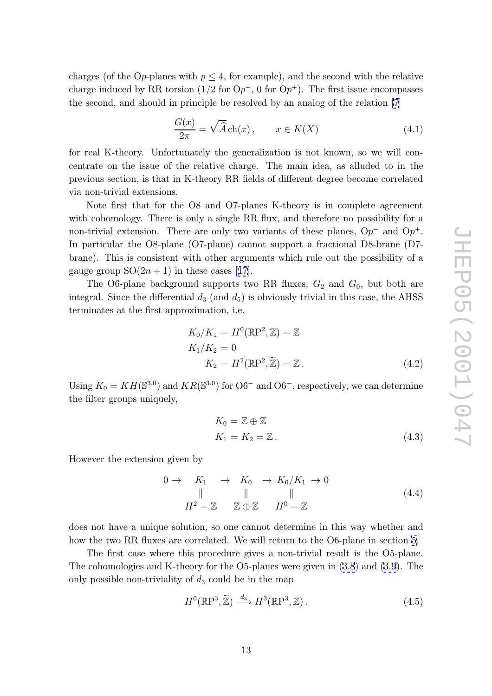charges (of the Op-planes with  $p \leq 4$ , for example), and the second with the relative charge induced by RR torsion  $(1/2$  for  $\mathcal{O}p^{-}$ , 0 for  $\mathcal{O}p^{+}$ ). The first issue encompasses the second, and should in principle be resolved by an analog of the relation [7] with  $p \le 4$ , for example), and the second with the relative<br>
sion (1/2 for  $Op^{-}$ , 0 for  $Op^{+}$ ). The first issue encompasses<br>
principle be resolved by an analog of the relation [7]<br>  $\frac{G(x)}{2\pi} = \sqrt{\hat{A}} \text{ch}(x)$ ,  $x \in K(X)$ 

$$
\frac{G(x)}{2\pi} = \sqrt{\widehat{A}} \operatorname{ch}(x), \qquad x \in K(X) \tag{4.1}
$$

for real K-theory. Unfortunately the generalization is not known, so we w[ill](#page-29-0) concentrate on the issue of the relative charge. The main idea, as alluded to in the previous section, is that in K-theory RR fields of different degree become correlated via non-trivial extensions.

Note first that for the O8 and O7-planes K-theory is in complete agreement with cohomology. There is only a single RR flux, and therefore no possibility for a non-trivial extension. There are only two variants of these planes,  $Op^-$  and  $Op^+$ . In particular the O8-plane (O7-plane) cannot support a fractional D8-brane (D7 brane). This is consistent with other arguments which rule out the possibility of a gauge group  $SO(2n+1)$  in these cases [17].

The O6-plane background supports two RR fluxes,  $G_2$  and  $G_0$ , but both are integral. Since the differential  $d_3$  (and  $d_5$ ) is obviously trivial in this case, the AHSS terminates at the first approximation, i.[e.](#page-29-0)

$$
K_0/K_1 = H^0(\mathbb{R}P^2, \mathbb{Z}) = \mathbb{Z}
$$
  
\n
$$
K_1/K_2 = 0
$$
  
\n
$$
K_2 = H^2(\mathbb{R}P^2, \widetilde{\mathbb{Z}}) = \mathbb{Z}.
$$
\n(4.2)

Using  $K_0 = KH(\mathbb{S}^{3,0})$  and  $KR(\mathbb{S}^{3,0})$  for  $\mathbb{O}6^-$  and  $\mathbb{O}6^+$ , respectively, we can determine the filter groups uniquely,

$$
K_0 = \mathbb{Z} \oplus \mathbb{Z}
$$
  
\n
$$
K_1 = K_2 = \mathbb{Z}.
$$
\n(4.3)

However the extension given by

$$
0 \to K_1 \to K_0 \to K_0/K_1 \to 0
$$
  
\n
$$
\parallel \qquad \parallel \qquad \parallel
$$
  
\n
$$
H^2 = \mathbb{Z} \qquad \mathbb{Z} \oplus \mathbb{Z} \qquad H^0 = \mathbb{Z}
$$
\n(4.4)

does not have a unique solution, so one cannot determine in this way whether and how the two RR fluxes are correlated. We will return to the O6-plane in section 5.

The first case where this procedure gives a non-trivial result is the O5-plane. The cohomologies and K-theory for the O5-planes were given in (3.8) and (3.9). The only possible non-triviality of  $d_3$  could be in the map n<br>h<br>Z

$$
H^{0}(\mathbb{R}\mathrm{P}^{3}, \widetilde{\mathbb{Z}}) \xrightarrow{d_{3}} H^{3}(\mathbb{R}\mathrm{P}^{3}, \mathbb{Z}). \tag{4.5}
$$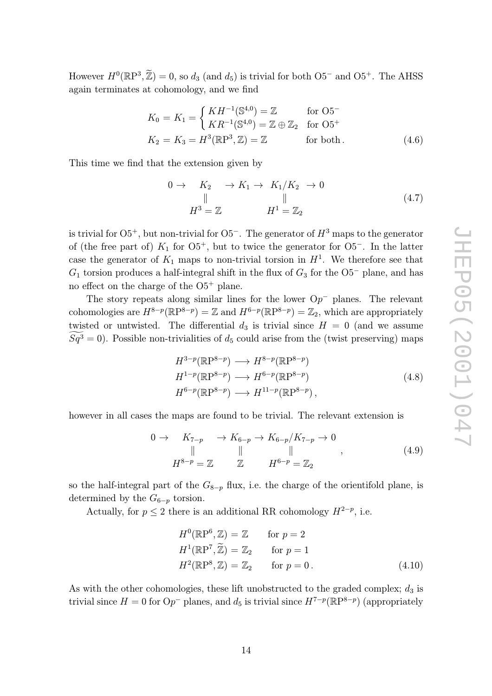However  $H^0(\mathbb{R}P^3, \tilde{\mathbb{Z}}) = 0$ , so  $d_3$  (and  $d_5$ ) is trivial for both O5<sup>-</sup> and O5<sup>+</sup>. The AHSS again terminates at cohomology, and we find  $(\widetilde{Z}) = 0$ , so  $d_3$  (and  $d_5$ ) is trivication to cohomology, and we find<br>  $K_0 = K_1 = \begin{cases} KH^{-1}(\mathbb{S}^{4,0}) = \frac{1}{K}L^{-1}(\mathbb{S}^{4,0}) \end{cases}$ 

$$
K_0 = K_1 = \begin{cases} KH^{-1}(\mathbb{S}^{4,0}) = \mathbb{Z} & \text{for } O5^-\\ KR^{-1}(\mathbb{S}^{4,0}) = \mathbb{Z} \oplus \mathbb{Z}_2 & \text{for } O5^+\\ K_2 = K_3 = H^3(\mathbb{R}P^3, \mathbb{Z}) = \mathbb{Z} & \text{for both.} \end{cases}
$$
(4.6)

This time we find that the extension given by

$$
0 \rightarrow K_2 \rightarrow K_1 \rightarrow K_1/K_2 \rightarrow 0
$$
  
\n
$$
\parallel \qquad \qquad \parallel
$$
  
\n
$$
H^3 = \mathbb{Z} \qquad H^1 = \mathbb{Z}_2
$$
\n(4.7)

is trivial for  $O5^+$ , but non-trivial for  $O5^-$ . The generator of  $H^3$  maps to the generator of (the free part of)  $K_1$  for  $O5^+$ , but to twice the generator for  $O5^-$ . In the latter case the generator of  $K_1$  maps to non-trivial torsion in  $H^1$ . We therefore see that  $G_1$  torsion produces a half-integral shift in the flux of  $G_3$  for the  $O5^-$  plane, and has no effect on the charge of the  $O5^+$  plane.

The story repeats along similar lines for the lower  $Op^-$  planes. The relevant cohomologies are  $H^{8-p}(\mathbb{R}P^{8-p}) = \mathbb{Z}$  and  $H^{6-p}(\mathbb{R}P^{8-p}) = \mathbb{Z}_2$ , which are appropriately twisted or untwisted. The differential  $d_3$  is trivial since  $H = 0$  (and we assume The story repeats along similar<br>cohomologies are  $H^{8-p}(\mathbb{R}P^{8-p}) = \mathbb{Z}$ <br>twisted or untwisted. The different<br> $\widetilde{Sq}^3 = 0$ ). Possible non-trivialities of d <sup>5</sup> could arise from the (twist preserving) maps

$$
H^{3-p}(\mathbb{R}P^{8-p}) \longrightarrow H^{8-p}(\mathbb{R}P^{8-p})
$$
  
\n
$$
H^{1-p}(\mathbb{R}P^{8-p}) \longrightarrow H^{6-p}(\mathbb{R}P^{8-p})
$$
  
\n
$$
H^{6-p}(\mathbb{R}P^{8-p}) \longrightarrow H^{11-p}(\mathbb{R}P^{8-p}),
$$
\n(4.8)

however in all cases the maps are found to be trivial. The relevant extension is

$$
\begin{array}{ccc}\n0 \to & K_{7-p} & \to K_{6-p} \to K_{6-p}/K_{7-p} \to 0 \\
\parallel & \parallel & \parallel & \\
H^{8-p} = \mathbb{Z} & \mathbb{Z} & H^{6-p} = \mathbb{Z}_2\n\end{array} \tag{4.9}
$$

so the half-integral part of the  $G_{8-p}$  flux, i.e. the charge of the orientifold plane, is determined by the  $G_{6-p}$  torsion.

Actually, for 
$$
p \le 2
$$
 there is an additional RR cohomology  $H^{2-p}$ , i.e.  
\n
$$
H^0(\mathbb{R}P^6, \mathbb{Z}) = \mathbb{Z} \quad \text{for } p = 2
$$
\n
$$
H^1(\mathbb{R}P^7, \widetilde{\mathbb{Z}}) = \mathbb{Z}_2 \quad \text{for } p = 1
$$
\n
$$
H^2(\mathbb{R}P^8, \mathbb{Z}) = \mathbb{Z}_2 \quad \text{for } p = 0.
$$
\n(4.10)

As with the other cohomologies, these lift unobstructed to the graded complex;  $d_3$  is trivial since  $H = 0$  for  $\mathcal{O}p^{-}$  planes, and  $d_5$  is trivial since  $H^{7-p}(\mathbb{R}P^{8-p})$  (appropriately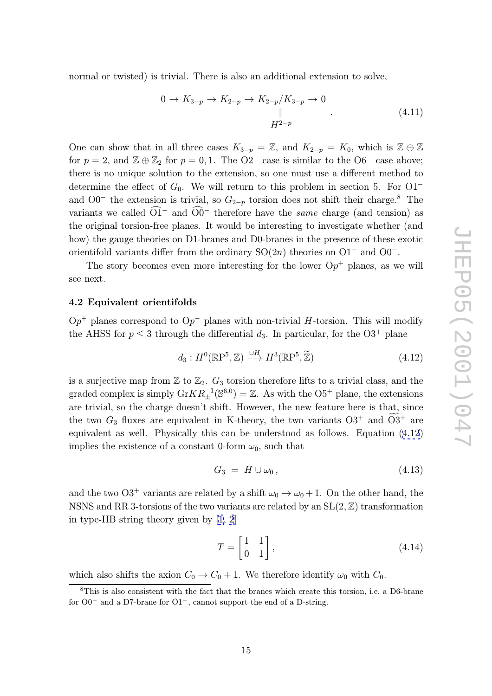<span id="page-15-0"></span>normal or twisted) is trivial. There is also an additional extension to solve,

$$
0 \to K_{3-p} \to K_{2-p} \to K_{2-p}/K_{3-p} \to 0
$$
  

$$
\parallel
$$
  

$$
H^{2-p}
$$
 (4.11)

One can show that in all three cases  $K_{3-p} = \mathbb{Z}$ , and  $K_{2-p} = K_0$ , which is  $\mathbb{Z} \oplus \mathbb{Z}$ for  $p = 2$ , and  $\mathbb{Z} \oplus \mathbb{Z}_2$  for  $p = 0, 1$ . The  $O2^-$  case is similar to the  $O6^-$  case above; there is no unique solution to the extension, so one must use a different method to determine the effect of  $G_0$ . We will return to this problem in section 5. For  $O1^$ and  $O0^-$  the extension is trivial, so  $G_{2-p}$  torsion does not shift their charge.<sup>8</sup> The there is no unique solution to the<br>determine the effect of  $G_0$ . We<br>and O0<sup>-</sup> the extension is trivia<br>variants we called  $\widehat{O1}^-$  and  $\widehat{O0}$ variants we called  $O1^-$  and  $O0^-$  therefore have the *same* charge (and tension) as the original torsion-free planes. It would be interesting to investigate whether (and how) the gauge theories on D1-branes and D0-branes in the presence of these exotic orientifold variants differ from the ordinary  $SO(2n)$  theories on  $O1^-$  and  $O0^-$ .

The story becomes even more interesting for the lower  $Op<sup>+</sup>$  planes, as we will see next.

### 4.2 Equivalent orientifolds

 $Op<sup>+</sup>$  planes correspond to  $Op<sup>-</sup>$  planes with non-trivial H-torsion. This will modify the AHSS for  $p \leq 3$  through the differential  $d_3$ . In particular, for the O3<sup>+</sup> plane *H*-torsion. This will modify<br>icular, for the O3<sup>+</sup> plane<br> $(\tilde{Z})$  (4.12)

$$
d_3: H^0(\mathbb{R}P^5, \mathbb{Z}) \xrightarrow{\cup H} H^3(\mathbb{R}P^5, \widetilde{\mathbb{Z}}) \tag{4.12}
$$

is a surjective map from  $\mathbb{Z}$  to  $\mathbb{Z}_2$ .  $G_3$  torsion therefore lifts to a trivial class, and the graded complex is simply  $\text{Gr}KR_+^{-1}$  $_{\pm}^{-1}({\mathbb S}^{6,0}) = \mathbb{Z}$ . As with the O5<sup>+</sup> plane, the extensions are trivial, so the charge doesn't shift. However, the new feature here is that, since the two  $G_3$  fluxes are equivalent in K-theory, the two variants  $O3^+$  and  $\widetilde{O3}^+$  are al class, and  $\alpha$ , the exter re is that,  $\alpha$  + and  $\widetilde{O3}$ equivalent as well. Physically this can be understood as follows. Equation (4.12) implies the existence of a constant 0-form  $\omega_0$ , such that

$$
G_3 = H \cup \omega_0, \tag{4.13}
$$

and the two O3<sup>+</sup> variants are related by a shift  $\omega_0 \to \omega_0 + 1$ . On the other hand, the NSNS and RR 3-torsions of the two variants are related by an  $SL(2, \mathbb{Z})$  transformation in type-IIB string theory given by [1, 2]

$$
T = \begin{bmatrix} 1 & 1 \\ 0 & 1 \end{bmatrix}, \tag{4.14}
$$

which also shifts the axion  $C_0 \to C_0 + 1$ . We therefore identify  $\omega_0$  with  $C_0$ .

<sup>8</sup>This is also consistent with the fact that the branes which create this torsion, i.e. a D6-brane for  $O0^-$  and a D7-brane for  $O1^-$ , cannot support the end of a D-string.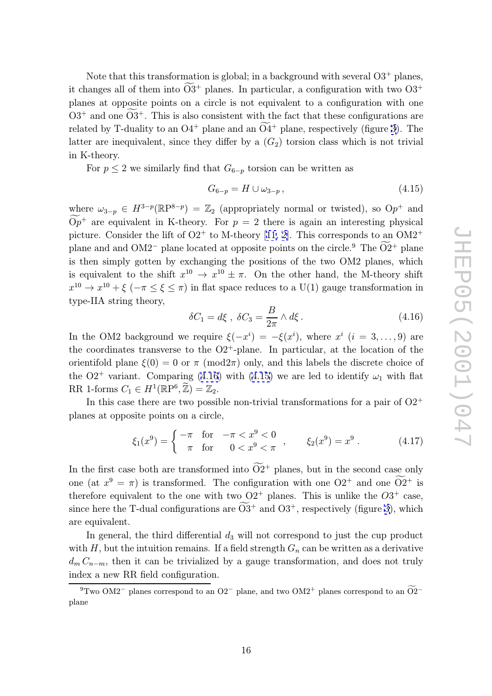Note that this transformation is global; in a background with several  $O3^+$  planes, Note that this transformation is global; in a background with several  $O3^+$  planes, it changes all of them into  $\widetilde{O3}^+$  planes. In particular, a configuration with two  $O3^+$ planes at opposite points on a circle is not equivalent to a configuration with one  $O3^+$  and one  $\widetilde{O3}^+$ . This is also consistent with the fact that these configurations are Note that the shanges all of ness at opposite  $+$  and one  $\widetilde{O3}$ related by T-duality to an  $O4^+$  plane and an  $\widetilde{O4}^+$  plane, respectively (figure 3). The  $\hat{B}^+$  planes. In partiation is not equal to consistent with the theorem and an  $\tilde{O}4$ latter are inequivalent, since they differ by a  $(G_2)$  torsion class which is not trivial in K-theory.

For  $p \leq 2$  we similarly find that  $G_{6-p}$  torsion can be written as

$$
G_{6-p} = H \cup \omega_{3-p}, \qquad (4.15)
$$

where  $\omega_{3-p} \in H^{3-p}(\mathbb{R}P^{8-p}) = \mathbb{Z}_2$  (appropriately normal or twisted), so  $Op^+$  and wh<br> $\frac{\overline{op}}{\widetilde{Op}}$ <sup>+</sup> are equivalent in K-theory. For  $p = 2$  there is again an interesting physical picture. Consider the lift of  $O2^+$  to M-theory [11, 2]. This corresponds to an  $OM2^+$ plane and and OM2<sup>-</sup> plane located at opposite points on the circle.<sup>9</sup> The  $\widetilde{O2}^+$  plane ed), so O<br>eresting p<br>onds to an<br><sup>9</sup> The  $\widetilde{O2}$ is then simply gotten by exchanging the positions of the two OM2 planes, which is [e](#page-28-0)quivalent to the shift  $x^{10} \to x^{10} \pm \pi$ . O[n th](#page-29-0)e other hand, the M-theory shift  $x^{10} \to x^{10} + \xi$  ( $-\pi \leq \xi \leq \pi$ ) in flat space reduces to a U(1) gauge transformation in type-IIA string theory,

$$
\delta C_1 = d\xi \ , \ \delta C_3 = \frac{B}{2\pi} \wedge d\xi \,. \tag{4.16}
$$

In the OM2 background we require  $\xi(-x^i) = -\xi(x^i)$ , where  $x^i$   $(i = 3, \ldots, 9)$  are the coordinates transverse to the  $O2^+$ -plane. In particular, at the location of the orientifold plane  $\xi(0) = 0$  or  $\pi$  (mod2 $\pi$ ) only, and this labels the discrete choice of the O2<sup>+</sup> variant. Comparing (4.16) with (4.15) we are led to identify  $\omega_1$  with flat the coordinates transverse to the C<br>orientifold plane  $\xi(0) = 0$  or  $\pi$  (mo<br>the O2<sup>+</sup> variant. Comparing (4.16<br>RR 1-forms  $C_1 \in H^1(\mathbb{R}P^6, \tilde{\mathbb{Z}}) = \mathbb{Z}_2$ .

In this case there are two possible non-trivial transformations for a pair of  $O2^+$ planes at opposite points on a circle,

$$
\xi_1(x^9) = \begin{cases}\n-\pi & \text{for } -\pi < x^9 < 0 \\
\pi & \text{for } 0 < x^9 < \pi\n\end{cases}, \qquad \xi_2(x^9) = x^9. \tag{4.17}
$$
\nIn the first case both are transformed into  $\widetilde{O2}^+$  planes, but in the second case only

one (at  $x^9 = \pi$ ) is transformed. The configuration with one  $O2^+$  and one  $\widetilde{O2}^+$  is  $x^9$ . (4<br>e second case of<br>+ and one  $\widetilde{O2}$ therefore equivalent to the one with two  $O2^+$  planes. This is unlike the  $O3^+$  case, In the first case both are transformed into<br>one (at  $x^9 = \pi$ ) is transformed. The conf<br>therefore equivalent to the one with two C<br>since here the T-dual configurations are  $\widehat{O3}$  $^+$  and O3<sup>+</sup>, respectively (figure 3), which are equivalent.

In general, the third differential  $d_3$  will not correspond to just the cup product with H, but the intuition remains. If a field strength  $G_n$  can be written as a [de](#page-17-0)rivative  $d_m C_{n-m}$ , then it can be trivialized by a gauge transformation, and does not truly<br>index a new RR field configuration.<br><sup>9</sup>Two OM2<sup>-</sup> planes correspond to an O2<sup>-</sup> plane, and two OM2<sup>+</sup> planes correspond to an  $\widetilde{O2}$ <sup></sup> index a new RR field configuration.

<sup>&</sup>lt;sup>9</sup>Two OM2<sup>-</sup> planes correspond to an O2<sup>-</sup> plane, and two OM2<sup>+</sup> planes correspond to an O2<sup>-</sup> plane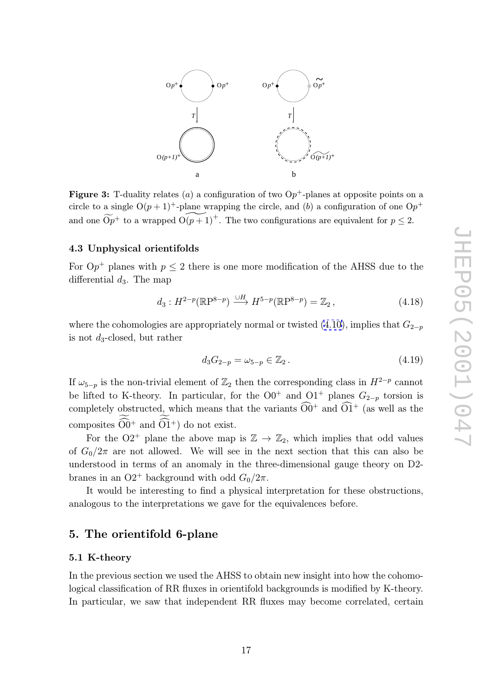<span id="page-17-0"></span>

**Figure 3:** T-duality relates (*a*) a configuration of two  $Op^+$ -planes at opposite points on a circle to a simple  $O(n+1)^+$  plane running the simple and (*b*) a configuration of an  $O_n^+$ circle to a single  $O(p+1)^+$ -plane wrapping the circle, and (b) a configuration of one  $Op^+$ Figure 3: T-duality relates (*a*) a configuration of two  $Op^+$ -planes at opposite points on circle to a single  $O(p + 1)^+$ -plane wrapping the circle, and (*b*) a configuration of one  $O_p$  and one  $\widetilde{Op}^+$  to a wrapped  $O$ 

### 4.3 Unphysical orientifolds

For  $\mathbf{O}p^+$  planes with  $p \leq 2$  there is one more modification of the AHSS due to the differential  $d_3$ . The map

$$
d_3: H^{2-p}(\mathbb{R}\mathrm{P}^{8-p}) \xrightarrow{\cup H} H^{5-p}(\mathbb{R}\mathrm{P}^{8-p}) = \mathbb{Z}_2, \qquad (4.18)
$$

where the cohomologies are appropriately normal or twisted  $(4.10)$ , implies that  $G_{2-p}$ is not d <sup>3</sup>-closed, but rather

$$
d_3 G_{2-p} = \omega_{5-p} \in \mathbb{Z}_2. \tag{4.19}
$$

If  $\omega_{5-p}$  is the non-trivial element of  $\mathbb{Z}_2$  then the corresponding class in  $H^{2-p}$  cannot be lifted to K-theory. In particular, for the  $O0^+$  and  $O1^+$  planes  $G_{2-p}$  torsion is  $a_3G_{2-p} = \omega_{5-p} \in \mathbb{Z}_2$ .<br>If  $\omega_{5-p}$  is the non-trivial element of  $\mathbb{Z}_2$  then the corresponding class<br>be lifted to K-theory. In particular, for the  $O0^+$  and  $O1^+$  planes<br>completely obstructed, which means that t completely obstructed, which means that the variants  $\widehat{O}0^+$  and  $\widehat{O}1^+$  (as well as the If  $\omega_{5-p}$  is the non-trivial<br>be lifted to K-theory. 1<br>completely obstructed, v<br>composites  $\widetilde{\widehat{O0}}^+$  and  $\widetilde{\widehat{O1}}$ composites  $\widehat{O}0^+$  and  $\widehat{O}1^+$  do not exist.

For the O2<sup>+</sup> plane the above map is  $\mathbb{Z} \to \mathbb{Z}_2$ , which implies that odd values of  $G_0/2\pi$  are not allowed. We will see in the next section that this can also be understood in terms of an anomaly in the three-dimensional gauge theory on D2 branes in an O2<sup>+</sup> background with odd  $G_0/2\pi$ .

It would be interesting to find a physical interpretation for these obstructions, analogous to the interpretations we gave for the equivalences before.

### 5. The orientifold 6-plane

### 5.1 K-theory

In the previous section we used the AHSS to obtain new insight into how the cohomological classification of RR fluxes in orientifold backgrounds is modified by K-theory. In particular, we saw that independent RR fluxes may become correlated, certain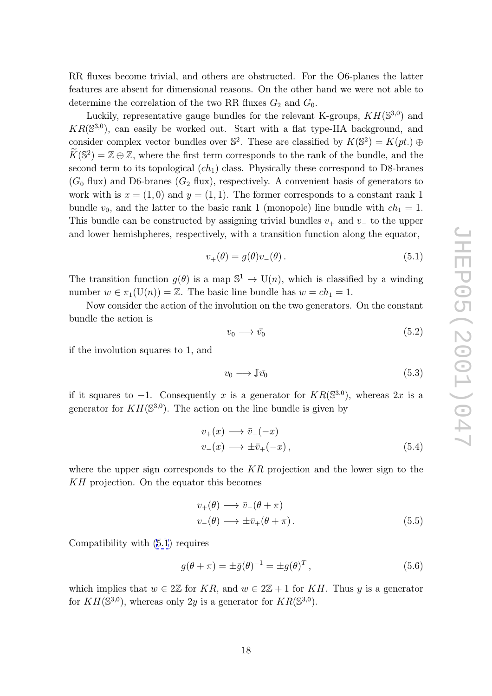RR fluxes become trivial, and others are obstructed. For the O6-planes the latter features are absent for dimensional reasons. On the other hand we were not able to determine the correlation of the two RR fluxes  $G_2$  and  $G_0$ .

Luckily, representative gauge bundles for the relevant K-groups,  $KH(\mathbb{S}^{3,0})$  and  $KR(\mathbb{S}^{3,0})$ , can easily be worked out. Start with a flat type-IIA background, and consider complex vector bundles over  $\mathbb{S}^2$ . These are classified by  $K(\mathbb{S}^2) = K(pt.$   $\oplus$  $K$ co $\widetilde{K}$  $(\mathbb{S}^2) = \mathbb{Z} \oplus \mathbb{Z}$ , where the first term corresponds to the rank of the bundle, and the second term to its topological  $(ch<sub>1</sub>)$  class. Physically these correspond to D8-branes  $(G_0)$  flux) and D6-branes  $(G_2)$  flux), respectively. A convenient basis of generators to work with is  $x = (1,0)$  and  $y = (1,1)$ . The former corresponds to a constant rank 1 bundle  $v_0$ , and the latter to the basic rank 1 (monopole) line bundle with  $ch_1 = 1$ . This bundle can be constructed by assigning trivial bundles  $v_+$  and  $v_-$  to the upper and lower hemishpheres, respectively, with a transition function along the equator,

$$
v_{+}(\theta) = g(\theta)v_{-}(\theta). \qquad (5.1)
$$

The transition function  $g(\theta)$  is a map  $\mathbb{S}^1 \to \mathrm{U}(n)$ , which is classified by a winding number  $w \in \pi_1(\mathbf{U}(n)) = \mathbb{Z}$ . The basic line bundle has  $w = ch_1 = 1$ .

Now consider the action of the involution on the two generators. On the constant bundle the action is

$$
v_0 \longrightarrow \bar{v_0} \tag{5.2}
$$

if the involution squares to 1, and

$$
v_0 \longrightarrow \mathbb{J}\bar{v_0} \tag{5.3}
$$

if it squares to  $-1$ . Consequently x is a generator for  $KR(\mathbb{S}^{3,0})$ , whereas  $2x$  is a generator for  $KH(\mathbb{S}^{3,0})$ . The action on the line bundle is given by

$$
v_{+}(x) \longrightarrow \bar{v}_{-}(-x)
$$
  

$$
v_{-}(x) \longrightarrow \pm \bar{v}_{+}(-x),
$$
 (5.4)

where the upper sign corresponds to the  $KR$  projection and the lower sign to the KH projection. On the equator this becomes

$$
v_{+}(\theta) \longrightarrow \bar{v}_{-}(\theta + \pi)
$$
  

$$
v_{-}(\theta) \longrightarrow \pm \bar{v}_{+}(\theta + \pi).
$$
 (5.5)

Compatibility with (5.1) requires

$$
g(\theta + \pi) = \pm \bar{g}(\theta)^{-1} = \pm g(\theta)^{T},
$$
\n(5.6)

which implies that  $w \in 2\mathbb{Z}$  for  $KR$ , and  $w \in 2\mathbb{Z} + 1$  for  $KH$ . Thus y is a generator for  $KH(\mathbb{S}^{3,0})$ , whereas only 2y is a generator for  $KR(\mathbb{S}^{3,0})$ .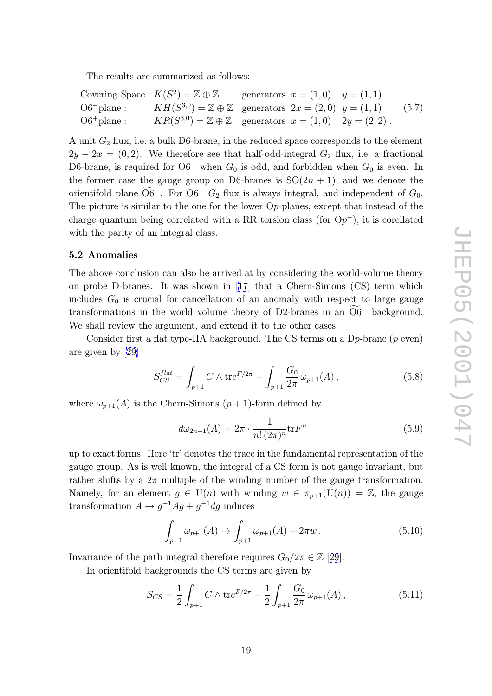<span id="page-19-0"></span>The results are summarized as follows:

Covering Space: 
$$
K(S^2) = \mathbb{Z} \oplus \mathbb{Z}
$$
 generators  $x = (1,0)$   $y = (1,1)$ 

\nO6-plane:  $KH(S^{3,0}) = \mathbb{Z} \oplus \mathbb{Z}$  generators  $2x = (2,0)$   $y = (1,1)$   $(5.7)$ 

\nO6+plane:  $KR(S^{3,0}) = \mathbb{Z} \oplus \mathbb{Z}$  generators  $x = (1,0)$   $2y = (2,2)$ .

A unit  $G_2$  flux, i.e. a bulk D6-brane, in the reduced space corresponds to the element  $2y - 2x = (0, 2)$ . We therefore see that half-odd-integral  $G_2$  flux, i.e. a fractional D6-brane, is required for O6<sup>-</sup> when  $G_0$  is odd, and forbidden when  $G_0$  is even. In the former case the gauge group on D6-branes i D6-brane, is required for  $O6^-$  when  $G_0$  is odd, and forbidden when  $G_0$  is even. In the former case the gauge group on D6-branes is  $SO(2n + 1)$ , and we denote the −. For O6<sup>+</sup>  $G_2$  flux is always integral, and independent of  $G_0$ . The picture is similar to the one for the lower O p-planes, except that instead of the charge quantum being correlated with a RR torsion class (for  $Op^-$ ), it is corellated with the parity of an integral class.

### 5.2 Anomalies

The above conclusion can also be arrived at by considering the world-volume theory on probe D-branes. It was shown in [17] that a Chern-Simons (CS) term which includes  $G_0$  is crucial for cancellation of an anomaly with respect to large gauge The above conclusion can also be arrived at by considering the world-volume theory<br>on probe D-branes. It was shown in [17] that a Chern-Simons (CS) term which<br>includes  $G_0$  is crucial for cancellation of an anomaly with We shall review the argument, a[nd](#page-29-0) extend it to the other cases.

Consider first a flat type-IIA background. The CS terms on a  $D_p$ -brane ( $p$  even) are given by [29]

$$
S_{CS}^{flat} = \int_{p+1} C \wedge \text{tr}e^{F/2\pi} - \int_{p+1} \frac{G_0}{2\pi} \omega_{p+1}(A) , \qquad (5.8)
$$

where  $\omega_{p+1}(A)$  is the Chern-Simons  $(p+1)$ -form defined by

$$
d\omega_{2n-1}(A) = 2\pi \cdot \frac{1}{n! \left(2\pi\right)^n} \text{tr} F^n \tag{5.9}
$$

up to exact forms. Here 'tr' denotes the trace in the fundamental representation of the gauge group. As is well known, the integral of a CS form is not gauge invariant, but rather shifts by a  $2\pi$  multiple of the winding number of the gauge transformation. Namely, for an element  $g \in U(n)$  with winding  $w \in \pi_{p+1}(U(n)) = \mathbb{Z}$ , the gauge transformation  $A \to g^{-1}Ag + g^{-1}dg$  induces

$$
\int_{p+1} \omega_{p+1}(A) \to \int_{p+1} \omega_{p+1}(A) + 2\pi w \,. \tag{5.10}
$$

Invariance of the path integral therefore requires  $G_0/2\pi \in \mathbb{Z}$  [29].

In orientifold backgrounds the CS terms are given by

$$
J_{p+1} \qquad J_{p+1}
$$
\nwith integral therefore requires  $G_0/2\pi \in \mathbb{Z}$  [29].

\nbackgrounds the CS terms are given by

\n
$$
S_{CS} = \frac{1}{2} \int_{p+1} C \wedge \text{tr}e^{F/2\pi} - \frac{1}{2} \int_{p+1} \frac{G_0}{2\pi} \omega_{p+1}(A) \,, \tag{5.11}
$$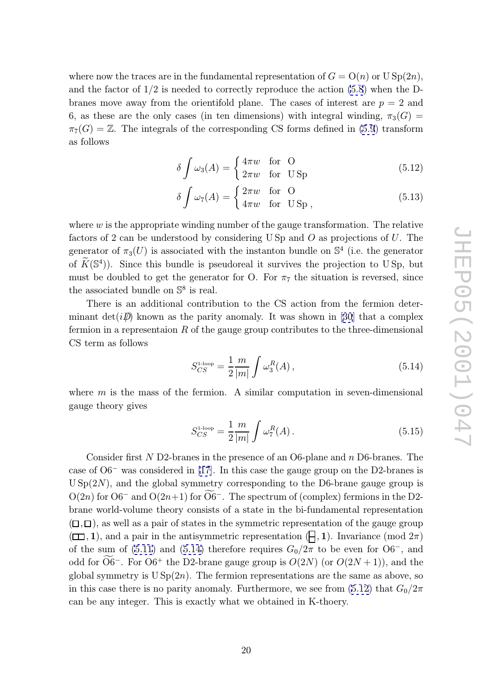<span id="page-20-0"></span>where now the traces are in the fundamental representation of  $G = O(n)$  or  $USp(2n)$ , and the factor of 1 /2 is needed to correctly reproduce the action (5.8) when the Dbranes move away from the orientifold plane. The cases of interest are  $p = 2$  and 6, as these are the only cases (in ten dimensions) with integral winding,  $\pi_3(G)$  =  $\pi_7(G) = \mathbb{Z}$ . The integrals of the corresponding CS forms defined i[n \(5](#page-19-0).9) transform as follows

$$
\delta \int \omega_3(A) = \begin{cases} 4\pi w & \text{for } O\\ 2\pi w & \text{for } \text{USp} \end{cases}
$$
 (5.12)

$$
\delta \int \omega_7(A) = \begin{cases} 2\pi w & \text{for } O\\ 4\pi w & \text{for } \text{USp }, \end{cases}
$$
 (5.13)

where  $w$  is the appropriate winding number of the gauge transformation. The relative factors of 2 can be understood by considering USp and  $O$  as projections of  $U$ . The generator of  $\pi_3(U)$  is associated with the instanton bundle on  $\mathbb{S}^4$  (i.e. the generator of  $\widetilde{K}(\mathbb{S}^4)$ ). Since this bundle is pseudoreal it survives the projection to USp, but  $\text{etc} \atop \text{nei} \widetilde{K}$ must be doubled to get the generator for O. For  $\pi_7$  the situation is reversed, since the associated bundle on  $\mathbb{S}^8$  is real.

There is an additional contribution to the CS action from the fermion determinant  $\det(i\mathcal{D})$  known as the parity anomaly. It was shown in [30] that a complex fermion in a representaion  $R$  of the gauge group contributes to the three-dimensional CS term as follows

$$
S_{CS}^{1\text{-loop}} = \frac{1}{2} \frac{m}{|m|} \int \omega_3^R(A) \,, \tag{5.14}
$$

where  $m$  is the mass of the fermion. A similar computation in seven-dimensional gauge theory gives

$$
S_{CS}^{1\text{-loop}} = \frac{1}{2} \frac{m}{|m|} \int \omega_7^R(A) \,. \tag{5.15}
$$

Consider first N D2-branes in the presence of an O6-plane and n D6-branes. The case of O6 <sup>−</sup> was considered in [17]. In this case the gauge group on the D2-branes is  $USp(2N)$ , and the global symmetry corresponding to the D6-brane gauge group is Consider first N D2-branes in the presence of an O6-plane and n D6-branes. The case of O6<sup>-</sup> was considered in [17]. In this case the gauge group on the D2-branes is U Sp(2N), and the global symmetry corresponding to the brane world-volume theory co[nsis](#page-29-0)ts of a state in the bi-fundamental representation  $(\Box, \Box)$ , as well as a pair of states in the symmetric representation of the gauge group  $(\Box, 1)$ , and a pair in the antisymmetric representation  $(\Box, 1)$ . Invariance (mod  $2\pi$ ) of the sum of (5.11) and (5.14) therefore requires  $G_0/2\pi$  to be even for  $O6^-$ , and  $(\Box, \Box)$ , as v<br> $(\Box, \Box)$ , an<br>of the sum<br>odd for  $\widetilde{O6}$ −. For O6<sup>+</sup> the D2-brane gauge group is  $O(2N)$  (or  $O(2N+1)$ ), and the global symmetry is  $USp(2n)$ . The fermion representations are the same as above, so in this case the[re is](#page-19-0) no parity anomaly. Furthermore, we see from  $(5.12)$  that  $G_0/2\pi$ can be any integer. This is exactly what we obtained in K-thoery.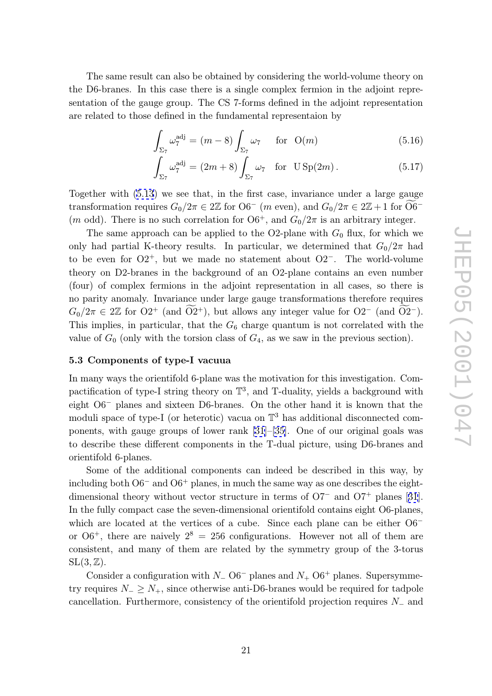<span id="page-21-0"></span>The same result can also be obtained by considering the world-volume theory on the D6-branes. In this case there is a single complex fermion in the adjoint representation serectation of the gauge group. The CS 7-forms defined in the adjoint representation are related to those defined in the fundamen sentation of the gauge group. The CS 7-forms defined in the adjoint representation

defined in the fundamental representation by  
\n
$$
\int_{\Sigma_7} \omega_7^{\text{adj}} = (m-8) \int_{\Sigma_7} \omega_7 \quad \text{for } O(m)
$$
\n(5.16)  
\n
$$
\int_{\Sigma_7} \omega_7^{\text{adj}} = (2m+8) \int_{\Sigma_7} \omega_7 \quad \text{for } USp(2m).
$$
\n(5.17)

$$
\int_{\Sigma_7} \omega_7^{\text{adj}} = (2m+8) \int_{\Sigma_7} \omega_7 \quad \text{for} \quad \text{USp}(2m). \tag{5.17}
$$
\n8) we see that, in the first case, invariance under a large gauge

\nlines  $G_0/2\pi \in 2\mathbb{Z}$  for  $O6^-$  (*m* even), and  $G_0/2\pi \in 2\mathbb{Z}+1$  for  $\widetilde{O6}^-$ .

Together with (5.13) we see that, in the first case, invariance under a large gauge transformation requires  $G_0/2\pi \in 2\mathbb{Z}$  for  $\mathrm{O6}^-$  (m even), and  $G_0/2\pi \in 2\mathbb{Z}+1$  for  $\mathrm{O6}^-$ (*m* odd). There is no such correlation for  $06^+$ , and  $G_0/2\pi$  is an arbitrary integer.

The same a[ppro](#page-20-0)ach can be applied to the O2-plane with  $G_0$  flux, for which we only had partial K-theory results. In particular, we determined that  $G_0/2\pi$  had to be even for  $O2^+$ , but we made no statement about  $O2^-$ . The world-volume theory on D2-branes in the background of an O2-plane contains an even number (four) of complex fermions in the adjoint representation in all cases, so there is no parity anomaly. Invariance under large gauge transformations therefore requires  $G_0/2\pi \in 2\mathbb{Z}$  for  $O2^+$  (and  $\widetilde{O2}^+$ ), but allows any integer value for  $O2^-$  (and  $\widetilde{O2}^-$ ). This implies, in particular, that the  $G_6$  charge quantum is not correlated with the value of  $G_0$  (only with the torsion class of  $G_4$ , as we saw in the previous section).

### 5.3 Components of type-I vacuua

In many ways the orientifold 6-plane was the motivation for this investigation. Compactification of type-I string theory on  $\mathbb{T}^3$ , and T-duality, yields a background with eight O6 <sup>−</sup> planes and sixteen D6-branes. On the other hand it is known that the moduli space of type-I (or heterotic) vacua on  $\mathbb{T}^3$  has additional disconnected components, with gauge groups of lower rank [31]–[35]. One of our original goals was to describe these different components in the T-dual picture, using D6-branes and orientifold 6-planes.

Some of the additional components c[an](#page-30-0) in[dee](#page-30-0)d be described in this way, by including both  $O6^-$  and  $O6^+$  planes, in much the same way as one describes the eightdimensional theory without vector structure in terms of O7<sup>−</sup> and O7<sup>+</sup> planes [31]. In the fully compact case the seven-dimensional orientifold contains eight O6-planes, which are located at the vertices of a cube. Since each plane can be either  $06^$ or  $06^+$ , there [ar](#page-30-0)e naively  $2^8 = 256$  configurations. However not all of them are consistent, and many of them are related by the symmetry group of the 3-torus  $SL(3,\mathbb{Z})$ .

Consider a configuration with  $N_{-}$  O6<sup>-</sup> planes and  $N_{+}$  O6<sup>+</sup> planes. Supersymmetry requires  $N_-\geq N_+$ , since otherwise anti-D6-branes would be required for tadpole cancellation. Furthermore, consistency of the orientifold projection requires  $N_-\$  and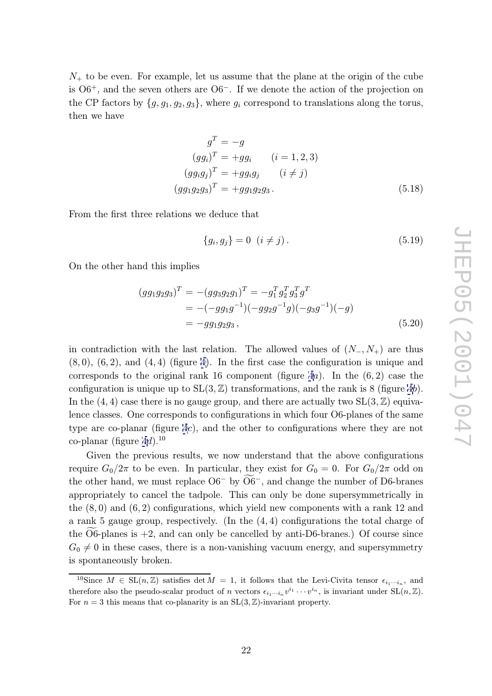$N_{+}$  to be even. For example, let us assume that the plane at the origin of the cube is  $06^+$ , and the seven others are  $06^-$ . If we denote the action of the projection on the CP factors by  $\{g, g_1, g_2, g_3\}$ , where  $g_i$  correspond to translations along the torus, then we have

$$
gT = -g
$$
  
\n
$$
(ggi)T = +ggi \qquad (i = 1, 2, 3)
$$
  
\n
$$
(ggigj)T = +ggigj \qquad (i \neq j)
$$
  
\n
$$
(gg1g2g3)T = +gg1g2g3.
$$
\n(5.18)

From the first three relations we deduce that

$$
\{g_i, g_j\} = 0 \ \ (i \neq j). \tag{5.19}
$$

On the other hand this implies

$$
(gg_1g_2g_3)^T = -(gg_3g_2g_1)^T = -g_1^Tg_2^Tg_3^Tg^T
$$
  
= -(-gg\_1g^{-1})(-gg\_2g^{-1}g)(-g\_3g^{-1})(-g)  
= -gg\_1g\_2g\_3, (5.20)

in contradiction with the last relation. The allowed values of  $(N_-, N_+)$  are thus  $(8,0), (6,2),$  and  $(4,4)$  (figure 4). In the first case the configuration is unique and corresponds to the original rank 16 component (figure  $4a$ ). In the  $(6, 2)$  case the configuration is unique up to  $SL(3, \mathbb{Z})$  transformations, and the rank is 8 (figure 4b). In the  $(4, 4)$  case there is no ga[ug](#page-23-0)e group, and there are actually two  $SL(3, \mathbb{Z})$  equivalence classes. One corresponds to configurations in which [f](#page-23-0)our O6-planes of the same type are co-planar (figure 4c), and the other to configurations where they are [n](#page-23-0)ot co-planar (figure  $4d$ ).<sup>10</sup>

Given the previous results, we now understand that the above configurations require  $G_0/2\pi$  to be even. [I](#page-23-0)n particular, they exist for  $G_0 = 0$ . For  $G_0/2\pi$  odd on co-planar (figure 4*d*).<sup>10</sup><br>Given the previous results, [we](#page-23-0) now understand that the above configurations<br>require  $G_0/2\pi$  to be even. In particular, they exist for  $G_0 = 0$ . For  $G_0/2\pi$  odd on<br>the other hand, we must r appropriately to cancel the tadpole. This can only be done supersymmetrically in the  $(8,0)$  and  $(6,2)$  configurations, which yield new components with a rank 12 and a rank 5 gauge group, respectively. (In the  $(4,4)$  co the  $(8,0)$  and  $(6,2)$  configurations, which yield new components with a rank 12 and a rank 5 gauge group, respectively. (In the (4 , 4) configurations the total charge of  $G_0 \neq 0$  in these cases, there is a non-vanishing vacuum energy, and supersymmetry is spontaneously broken.

<sup>&</sup>lt;sup>10</sup>Since  $M \in SL(n,\mathbb{Z})$  satisfies det  $M = 1$ , it follows that the Levi-Civita tensor  $\epsilon_{i_1\cdots i_n}$ , and therefore also the pseudo-scalar product of *n* vectors  $\epsilon_{i_1\cdots i_n}v^{i_1}\cdots v^{i_n}$ , is invariant under  $SL(n,\mathbb{Z})$ . For  $n=3$  this means that co-planarity is an  $SL(3, \mathbb{Z})$ -invariant property.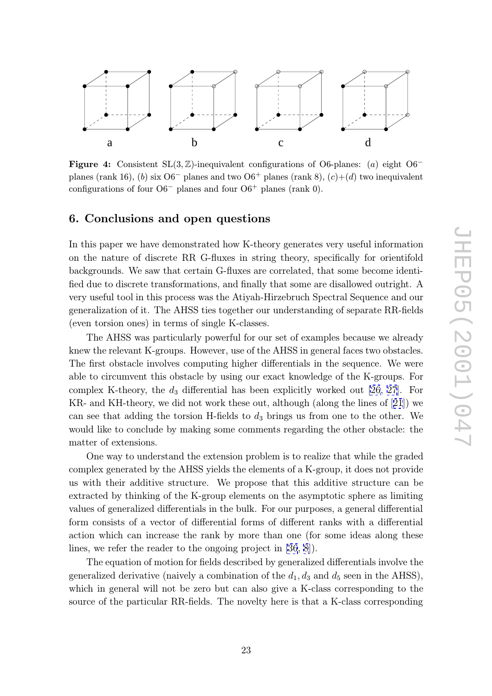<span id="page-23-0"></span>

**Figure 4:** Consistent  $SL(3, \mathbb{Z})$ -inequivalent configurations of O6-planes: (a) eight O6<sup>-</sup><br>planes (papk 16) (b) six O6<sup>-</sup> planes and two O6<sup>+</sup> planes (papk 8) (c) (d) two inequiralent planes (rank 16), (b) six  $O6^-$  planes and two  $O6^+$  planes (rank 8),  $(c)+(d)$  two inequivalent configurations of four  $O6^-$  planes and four  $O6^+$  planes (rank 0).

### 6. Conclusions and open questions

In this paper we have demonstrated how K-theory generates very useful information on the nature of discrete RR G-fluxes in string theory, specifically for orientifold backgrounds. We saw that certain G-fluxes are correlated, that some become identified due to discrete transformations, and finally that some are disallowed outright. A very useful tool in this process was the Atiyah-Hirzebruch Spectral Sequence and our generalization of it. The AHSS ties together our understanding of separate RR-fields (even torsion ones) in terms of single K-classes.

The AHSS was particularly powerful for our set of examples because we already knew the relevant K-groups. However, use of the AHSS in general faces two obstacles. The first obstacle involves computing higher differentials in the sequence. We were able to circumvent this obstacle by using our exact knowledge of the K-groups. For complex K-theory, the  $d_3$  differential has been explicitly worked out [26, 27]. For KR- and KH-theory, we did not work these out, although (along the lines of [21]) we can see that adding the torsion H-fields to  $d_3$  brings us from one to the other. We would like to conclude by making some comments regarding the other [obs](#page-30-0)t[acl](#page-30-0)e: the matter of extensions.

One way to understand the extension problem is to realize that while the graded complex generated by the AHSS yields the elements of a K-group, it does not provide us with their additive structure. We propose that this additive structure can be extracted by thinking of the K-group elements on the asymptotic sphere as limiting values of generalized differentials in the bulk. For our purposes, a general differential form consists of a vector of differential forms of different ranks with a differential action which can increase the rank by more than one (for some ideas along these lines, we refer the reader to the ongoing project in [36, 8]).

The equation of motion for fields described by generalized differentials involve the generalized derivative (naively a combination of the  $d_1, d_3$  and  $d_5$  seen in the AHSS), which in general will not be zero but can also giv[e a](#page-30-0) [K-](#page-29-0)class corresponding to the source of the particular RR-fields. The novelty here is that a K-class corresponding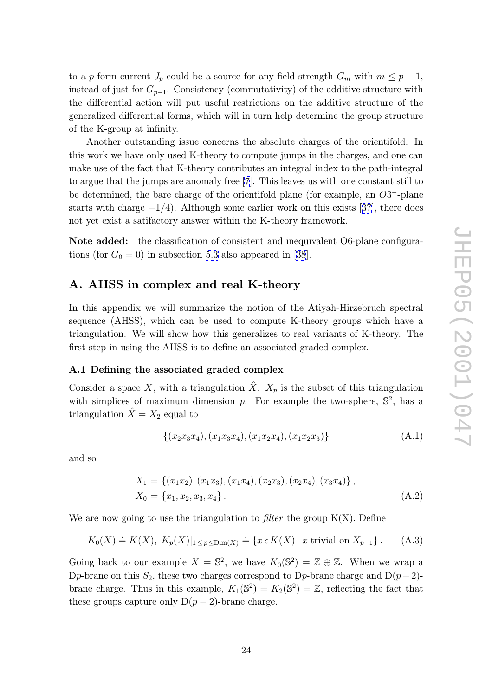<span id="page-24-0"></span>to a p-form current  $J_p$  could be a source for any field strength  $G_m$  with  $m \leq p-1$ , instead of just for  $G_{p-1}$ . Consistency (commutativity) of the additive structure with the differential action will put useful restrictions on the additive structure of the generalized differential forms, which will in turn help determine the group structure of the K-group at infinity.

Another outstanding issue concerns the absolute charges of the orientifold. In this work we have only used K-theory to compute jumps in the charges, and one can make use of the fact that K-theory contributes an integral index to the path-integral to argue that the jumps are anomaly free [7]. This leaves us with one constant still to be determined, the bare charge of the orientifold plane (for example, an  $O3^-$ -plane starts with charge  $-1/4$ ). Although some earlier work on this exists [37], there does not yet exist a satifactory answer within [th](#page-29-0)e K-theory framework.

Note added: the classification of consistent and inequivalent O6-p[lan](#page-30-0)e configurations (for  $G_0 = 0$ ) in subsection 5.3 also appeared in [38].

### A. AHSS in complex and real K-theory

In this appendix we will summarize the notion of the Atiyah-Hirzebruch spectral sequence (AHSS), which can be used to compute K-theory groups which have a triangulation. We will show how this generalizes to real variants of K-theory. The first step in using the AHSS is to define an associated graded complex.

### A.1 Defining the associated graded complex

Consider a space X, with a triangulation  $\hat{X}$ .  $X_p$  is the subset of this triangulation with simplices of maximum dimension p. For example the two-sphere,  $\mathbb{S}^2$ , has a triangulation  $\hat{X} = X_2$  equal to

$$
\{(x_2x_3x_4), (x_1x_3x_4), (x_1x_2x_4), (x_1x_2x_3)\}\
$$
\n(A.1)

and so

$$
X_1 = \{(x_1x_2), (x_1x_3), (x_1x_4), (x_2x_3), (x_2x_4), (x_3x_4)\},\,
$$
  
\n
$$
X_0 = \{x_1, x_2, x_3, x_4\}.
$$
 (A.2)

We are now going to use the triangulation to filter the group  $K(X)$ . Define

$$
K_0(X) \doteq K(X), K_p(X)|_{1 \le p \le \text{Dim}(X)} \doteq \{x \in K(X) \mid x \text{ trivial on } X_{p-1}\}.
$$
 (A.3)

Going back to our example  $X = \mathbb{S}^2$ , we have  $K_0(\mathbb{S}^2) = \mathbb{Z} \oplus \mathbb{Z}$ . When we wrap a Dp-brane on this  $S_2$ , these two charges correspond to Dp-brane charge and D $(p-2)$ brane charge. Thus in this example,  $K_1(\mathbb{S}^2) = K_2(\mathbb{S}^2) = \mathbb{Z}$ , reflecting the fact that these groups capture only  $D(p-2)$ -brane charge.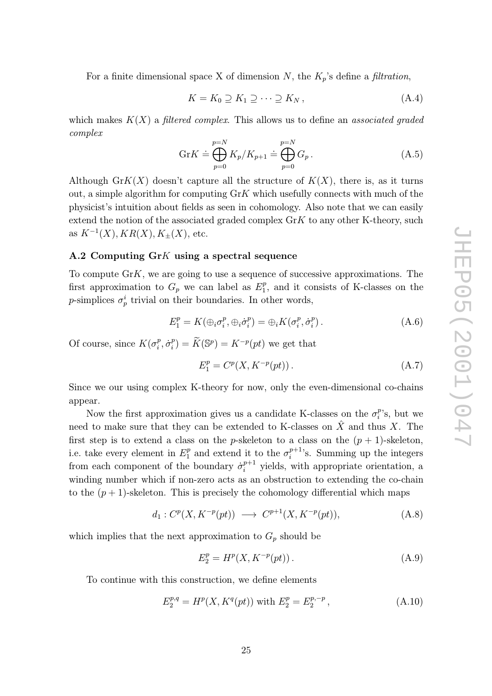<span id="page-25-0"></span>For a finite dimensional space X of dimension N, the  $K_p$ 's define a *filtration*,

$$
K = K_0 \supseteq K_1 \supseteq \cdots \supseteq K_N \,, \tag{A.4}
$$

which makes  $K(X)$  a *filtered complex*. This allows us to define an *associated graded* complex  $p_{max}$   $\Delta_0 \geq \Delta_1 \geq \cdots \geq \Delta_l$ <br>  $p_{max}$  This allows us

$$
\operatorname{Gr} K \doteq \bigoplus_{p=0}^{p=N} K_p / K_{p+1} \doteq \bigoplus_{p=0}^{p=N} G_p \,. \tag{A.5}
$$

Although  $GrK(X)$  doesn't capture all the structure of  $K(X)$ , there is, as it turns out, a simple algorithm for computing  $GrK$  which usefully connects with much of the physicist's intuition about fields as seen in cohomology. Also note that we can easily extend the notion of the associated graded complex  $\text{Gr}K$  to any other K-theory, such as  $K^{-1}(X)$ ,  $KR(X)$ ,  $K_{\pm}(X)$ , etc.

### A.2 Computing Gr K using a spectral sequence

To compute Gr K, we are going to use a sequence of successive approximations. The first approximation to  $G_p$  we can label as  $E_1^p$ , and it consists of K-classes on the p-simplices  $\sigma_p^i$  trivial on their boundaries. In other words,

their boundaries. In other words,

\n
$$
E_1^p = K(\oplus_i \sigma_i^p, \oplus_i \dot{\sigma}_i^p) = \oplus_i K(\sigma_i^p, \dot{\sigma}_i^p).
$$
\n(A.6)

\n
$$
\dot{\sigma}_i^p = \tilde{K}(\mathbb{S}^p) = K^{-p}(pt)
$$
\nwe get that

Of course, since  $K(\sigma_i^p, \dot{\sigma}_i^p) = \widetilde{K}(\mathbb{S}^p) = K^{-p}(pt)$  we get that

$$
E_1^p = C^p(X, K^{-p}(pt)).
$$
\n(A.7)

Since we our using complex K-theory for now, only the even-dimensional co-chains appear.

Now the first approximation gives us a candidate K-classes on the  $\sigma_i^p$ 's, but we need to make sure that they can be extended to K-classes on  $\hat{X}$  and thus X. The first step is to extend a class on the p-skeleton to a class on the  $(p+1)$ -skeleton, i.e. take every element in  $E_1^p$  and extend it to the  $\sigma_i^{p+1}$ 's. Summing up the integers from each component of the boundary  $\dot{\sigma}_i^{p+1}$  yields, with appropriate orientation, a winding number which if non-zero acts as an obstruction to extending the co-chain to the  $(p+1)$ -skeleton. This is precisely the cohomology differential which maps

$$
d_1: C^p(X, K^{-p}(pt)) \longrightarrow C^{p+1}(X, K^{-p}(pt)), \tag{A.8}
$$

which implies that the next approximation to  $G_p$  should be

$$
E_2^p = H^p(X, K^{-p}(pt)).
$$
\n(A.9)

To continue with this construction, we define elements

$$
E_2^{p,q} = H^p(X, K^q(pt)) \text{ with } E_2^p = E_2^{p,-p}, \qquad (A.10)
$$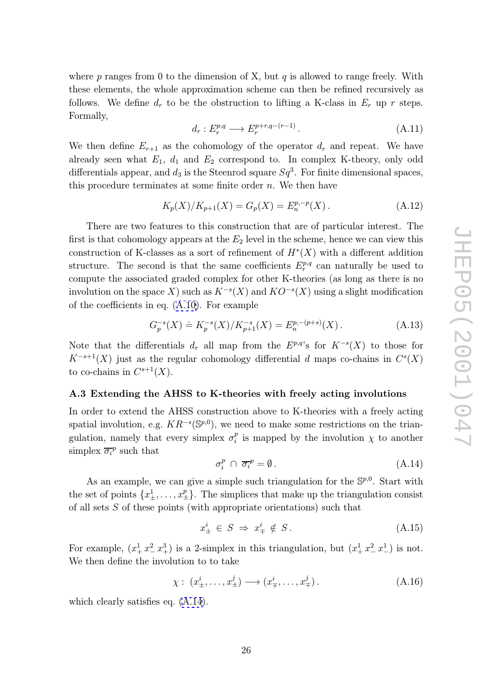where  $p$  ranges from 0 to the dimension of X, but  $q$  is allowed to range freely. With these elements, the whole approximation scheme can then be refined recursively as follows. We define  $d_r$  to be the obstruction to lifting a K-class in  $E_r$  up r steps. Formally,

$$
d_r: E_r^{p,q} \longrightarrow E_r^{p+r,q-(r-1)}.
$$
\n(A.11)

We then define  $E_{r+1}$  as the cohomology of the operator  $d_r$  and repeat. We have already seen what  $E_1$ ,  $d_1$  and  $E_2$  correspond to. In complex K-theory, only odd differentials appear, and  $d_3$  is the Steenrod square  $Sq^3$ . For finite dimensional spaces, this procedure terminates at some finite order  $n$ . We then have

$$
K_p(X)/K_{p+1}(X) = G_p(X) = E_n^{p,-p}(X).
$$
\n(A.12)

There are two features to this construction that are of particular interest. The first is that cohomology appears at the  $E_2$  level in the scheme, hence we can view this construction of K-classes as a sort of refinement of  $H^*(X)$  with a different addition structure. The second is that the same coefficients  $E_r^{p,q}$  can naturally be used to compute the associated graded complex for other K-theories (as long as there is no involution on the space X) such as  $K^{-s}(X)$  and  $KO^{-s}(X)$  using a slight modification of the coefficients in eq. (A.10). For example

$$
G_p^{-s}(X) \doteq K_p^{-s}(X)/K_{p+1}^{-s}(X) = E_n^{p,-(p+s)}(X). \tag{A.13}
$$

Note that the differenti[als](#page-25-0)  $d_r$  all map from the  $E^{p,q}$ 's for  $K^{-s}(X)$  to those for  $K^{-s+1}(X)$  just as the regular cohomology differential d maps co-chains in  $C^{s}(X)$ to co-chains in  $C^{s+1}(X)$ .

### A.3 Extending the AHSS to K-theories with freely acting involutions

In order to extend the AHSS construction above to K-theories with a freely acting spatial involution, e.g.  $KR^{-s}(\mathbb{S}^{p,0})$ , we need to make some restrictions on the triangulation, namely that every simplex  $\sigma_i^p$  is mapped by the involution  $\chi$  to another simplex  $\overline{\sigma_i}^p$  such that

$$
\sigma_i^p \cap \overline{\sigma_i}^p = \emptyset. \tag{A.14}
$$

As an example, we can give a simple such triangulation for the  $\mathbb{S}^{p,0}$ . Start with the set of points  $\{x^1_\pm,\ldots,x^p_\pm\}$  $\left\{\frac{p}{\pm}\right\}$ . The simplices that make up the triangulation consist of all sets S of these points (with appropriate orientations) such that

$$
x_{\pm}^i \in S \implies x_{\mp}^i \notin S. \tag{A.15}
$$

For example,  $(x_+^1, x_-^2)$  $\binom{2}{-}x^3$  is a 2-simplex in this triangulation, but  $\left(x^1_+ \, x^2_-\right)$  $\binom{2}{-}$   $x^1$ ) is not. We then define the involution to to take

$$
\chi: (x^i_{\pm}, \dots, x^j_{\pm}) \longrightarrow (x^i_{\mp}, \dots, x^j_{\mp}). \tag{A.16}
$$

which clearly satisfies eq. (A.14).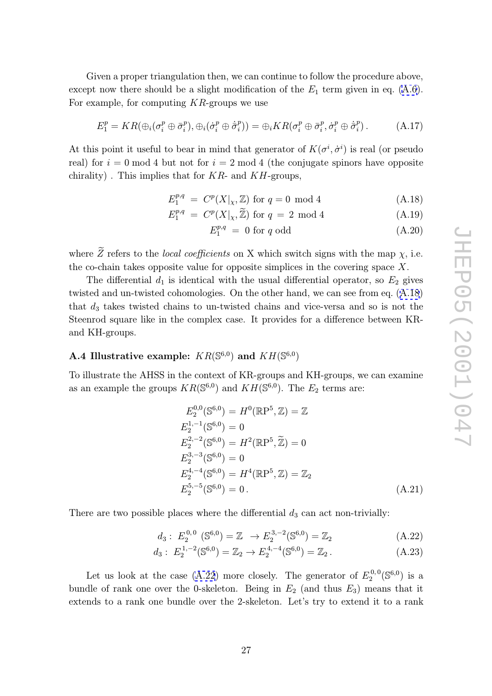Given a proper triangulation then, we can continue to follow the procedure above, except now there should be a slight modification of the  $E_1$  term given in eq. (A.6). For example, for computing  $KR$ -groups we use

$$
E_1^p = KR(\bigoplus_i(\sigma_i^p \oplus \bar{\sigma}_i^p), \bigoplus_i(\dot{\sigma}_i^p \oplus \dot{\bar{\sigma}}_i^p)\big) = \bigoplus_i KR(\sigma_i^p \oplus \bar{\sigma}_i^p, \dot{\sigma}_i^p \oplus \dot{\bar{\sigma}}_i^p).
$$
(A.17)

At this point it useful to bear in mind that generator of  $K(\sigma^i, \dot{\sigma}^i)$  is real (or pseudo real) for  $i = 0 \mod 4$  but not for  $i = 2 \mod 4$  (the conjugate spinors have opposite chirality). This implies that for  $KR$ - and  $KH$ -groups, Eq. and  $KH$ -groups,<br>
E<sub>p</sub>,q =  $C^p(X|_X, \mathbb{Z})$  for q = 0 mod 4 (A.18)<br>  $E_1^{p,q} = C^p(X|_X, \mathbb{Z})$  for q = 2 mod 4 (A.19)

$$
E_1^{p,q} = C^p(X|_{\chi}, \mathbb{Z}) \text{ for } q = 0 \text{ mod } 4
$$
 (A.18)

$$
E_1^{p,q} = C^p(X|_{\chi}, \mathbb{Z}) \text{ for } q = 2 \text{ mod } 4 \tag{A.19}
$$

$$
E_1^{p,q} = 0 \text{ for } q \text{ odd} \tag{A.20}
$$

 $E_1^{p,q} = C^p(X|_{\chi}, \tilde{Z})$  for  $q = 2 \mod 4$  (A.19)<br>  $E_1^{p,q} = 0$  for q odd (A.20)<br>
where  $\tilde{Z}$  refers to the *local coefficients* on X which switch signs with the map  $\chi$ , i.e. the co-chain takes opposite value for opposite simplices in the covering space  $X$ .

The differential  $d_1$  is identical with the usual differential operator, so  $E_2$  gives twisted and un-twisted cohomologies. On the other hand, we can see from eq. (A.18) that d <sup>3</sup> takes twisted chains to un-twisted chains and vice-versa and so is not the Steenrod square like in the complex case. It provides for a difference between KRand KH-groups.

# A.4 Illustrative example:  $KR(\mathbb{S}^{6,0})$  and  $KH(\mathbb{S}^{6,0})$

To illustrate the AHSS in the context of KR-groups and KH-groups, we can examine as an example the groups  $KR(\mathbb{S}^{6,0})$  and  $KH(\mathbb{S}^{6,0})$ . The  $E_2$  terms are:

$$
E_2^{0,0}(\mathbb{S}^{6,0}) = H^0(\mathbb{R}\mathbb{P}^5, \mathbb{Z}) = \mathbb{Z}
$$
  
\n
$$
E_2^{1,-1}(\mathbb{S}^{6,0}) = 0
$$
  
\n
$$
E_2^{2,-2}(\mathbb{S}^{6,0}) = H^2(\mathbb{R}\mathbb{P}^5, \mathbb{Z}) = 0
$$
  
\n
$$
E_2^{3,-3}(\mathbb{S}^{6,0}) = 0
$$
  
\n
$$
E_2^{4,-4}(\mathbb{S}^{6,0}) = H^4(\mathbb{R}\mathbb{P}^5, \mathbb{Z}) = \mathbb{Z}_2
$$
  
\n
$$
E_2^{5,-5}(\mathbb{S}^{6,0}) = 0.
$$
\n(A.21)

There are two possible places where the differential  $d_3$  can act non-trivially:

$$
d_3: E_2^{0,0} (\mathbb{S}^{6,0}) = \mathbb{Z} \to E_2^{3,-2} (\mathbb{S}^{6,0}) = \mathbb{Z}_2 \tag{A.22}
$$

$$
d_3: E_2^{1,-2}(\mathbb{S}^{6,0}) = \mathbb{Z}_2 \to E_2^{4,-4}(\mathbb{S}^{6,0}) = \mathbb{Z}_2.
$$
 (A.23)

Let us look at the case (A.22) more closely. The generator of  $E_2^{0,0}$  $2^{0,0}$ ( $\mathbb{S}^{6,0}$ ) is a bundle of rank one over the 0-skeleton. Being in  $E_2$  (and thus  $E_3$ ) means that it extends to a rank one bundle over the 2-skeleton. Let's try to extend it to a rank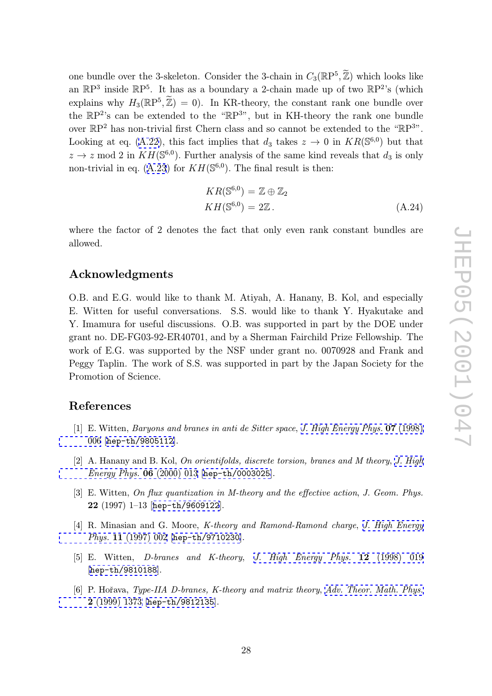<span id="page-28-0"></span>one bundle over the 3-skeleton. Consider the 3-chain in  $C_3(\mathbb{R}P^5, \tilde{\mathbb{Z}})$  which looks like an  $\mathbb{R}P^3$  inside  $\mathbb{R}P^5$ . It has as a boundary a 2-chain made up of two  $\mathbb{R}P^2$ 's (which explains why  $H_3(\mathbb{R}P^5)$ , skeleton. Consider the 3-chain in  $C_3(\mathbb{R}P^5, \tilde{\mathbb{Z}})$  which looks like<br>has as a boundary a 2-chain made up of two  $\mathbb{R}P^2$ 's (which<br> $\tilde{\mathbb{Z}}$ ) = 0). In KR-theory, the constant rank one bundle over the  $\mathbb{R}P^2$ 's can be extended to the " $\mathbb{R}P^{3}$ ", but in KH-theory the rank one bundle over  $\mathbb{R}P^2$  has non-trivial first Chern class and so cannot be extended to the " $\mathbb{R}P^{3}$ ". Looking at eq. (A.22), this fact implies that  $d_3$  takes  $z \to 0$  in  $KR(\mathbb{S}^{6,0})$  but that  $z \to z \mod 2$  in  $KH(\mathbb{S}^{6,0})$ . Further analysis of the same kind reveals that  $d_3$  is only non-trivial in eq.  $(A.23)$  for  $KH(\mathbb{S}^{6,0})$ . The final result is then:

$$
KR(\mathbb{S}^{6,0}) = \mathbb{Z} \oplus \mathbb{Z}_2
$$
  
\n
$$
KH(\mathbb{S}^{6,0}) = 2\mathbb{Z}. \tag{A.24}
$$

where the factor of 2 denotes the fact that only even rank constant bundles are allowed.

### Acknowledgments

O.B. and E.G. would like to thank M. Atiyah, A. Hanany, B. Kol, and especially E. Witten for useful conversations. S.S. would like to thank Y. Hyakutake and Y. Imamura for useful discussions. O.B. was supported in part by the DOE under grant no. DE-FG03-92-ER40701, and by a Sherman Fairchild Prize Fellowship. The work of E.G. was supported by the NSF under grant no. 0070928 and Frank and Peggy Taplin. The work of S.S. was supported in part by the Japan Society for the Promotion of Science.

## References

- [1] E. Witten, *Baryons and branes in anti de Sitter space*, *J. High Energy Phys.* **07** (1998)<br>
006 [h m + 1,0005440] 006 [hep-th/9805112].
- [2] A. Hanany and B. Kol, On orientifolds, discrete torsio[n,](http://jhep.sissa.it/stdsearch?paper=07%281998%29006) [branes](http://jhep.sissa.it/stdsearch?paper=07%281998%29006) [and](http://jhep.sissa.it/stdsearch?paper=07%281998%29006) [M](http://jhep.sissa.it/stdsearch?paper=07%281998%29006) [theory](http://jhep.sissa.it/stdsearch?paper=07%281998%29006), J. High [Ene](http://jhep.sissa.it/stdsearch?paper=07%281998%29006)rgy Phys. [06](http://xxx.lanl.gov/abs/hep-th/9805112) (2000) 013 [hep-th/0003025].
- [3] E. Witten, On flux quantization in M-theory and the effective action, J. Geo[m.](http://jhep.sissa.it/stdsearch?paper=06%282000%29013) [Phys.](http://jhep.sissa.it/stdsearch?paper=06%282000%29013) [22](http://jhep.sissa.it/stdsearch?paper=06%282000%29013) (1997) 1–13 [hep-th/960[9122](http://xxx.lanl.gov/abs/hep-th/0003025)].
- [4] R. Minasian and G. Moore, *K*-theory and Ramond-Ramond charge, *J. High Energy* Phys. 11 (1997) 002 [[hep-th/971](http://xxx.lanl.gov/abs/hep-th/9609122)0230].
- [5] E. Witten, *D*-branes and *K*-theory, *J. High Energy Phys.* **[12](http://jhep.sissa.it/stdsearch?paper=11%281997%29002)** (1998) 019 [[hep-th/9810188](http://jhep.sissa.it/stdsearch?paper=11%281997%29002)].
- [6] P. Hořava, Type-IIA D-branes, K-theory and matrix theory, [Adv.](http://jhep.sissa.it/stdsearch?paper=12%281998%29019) [Theor.](http://jhep.sissa.it/stdsearch?paper=12%281998%29019) [Math.](http://jhep.sissa.it/stdsearch?paper=12%281998%29019) [Phys.](http://jhep.sissa.it/stdsearch?paper=12%281998%29019) [2](http://xxx.lanl.gov/abs/hep-th/9810188) (1999) 1373 [hep-th/9812135].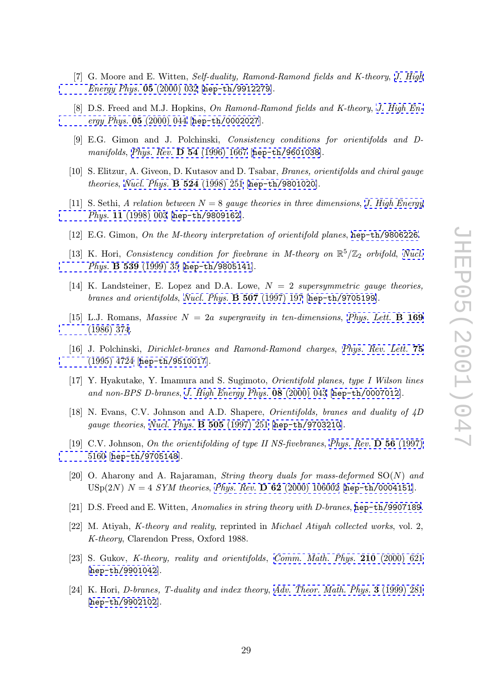- <span id="page-29-0"></span>[7] G. Moore and E. Witten, Self-duality, Ramond-Ramond fields and K-theory, J. High Energy Phys. 05 (2000) 032 [hep-th/9912279].
- [8] D.S. Freed and M.J. Hopkins, On Ramond-Ramond fields and K-theory, J. High Energy Phys.  $05$  (2000) 044 [he[p-th/0002027](http://xxx.lanl.gov/abs/hep-th/9912279)].
- [9] E.G. Gimon and J. Polchinski, Consistency conditions for orientif[olds](http://jhep.sissa.it/stdsearch?paper=05%282000%29044) [and](http://jhep.sissa.it/stdsearch?paper=05%282000%29044) [D](http://jhep.sissa.it/stdsearch?paper=05%282000%29044)manifolds, Phys. Rev. **[D](http://jhep.sissa.it/stdsearch?paper=05%282000%29044)** [54](http://xxx.lanl.gov/abs/hep-th/0002027) (1996) 1667 [hep-th/9601038].
- [10] S. Elitzur, A. Giveon, D. Kutasov and D. Tsabar, Branes, orientifolds and chiral gauge theories , Nucl. Phys. [B](http://www-spires.slac.stanford.edu/spires/find/hep/www?j=PHRVA%2CD54%2C1667) [524](http://www-spires.slac.stanford.edu/spires/find/hep/www?j=PHRVA%2CD54%2C1667) (1998) 251 [hep-th/9801020].
- [11] S. Sethi, A relation between  $N = 8$  gauge [theories](http://xxx.lanl.gov/abs/hep-th/9601038) [in](http://xxx.lanl.gov/abs/hep-th/9601038) [three](http://xxx.lanl.gov/abs/hep-th/9601038) [d](http://xxx.lanl.gov/abs/hep-th/9601038)imensions, J. High Energy Phys. 11 (1998) 003 [[hep-th/9809162](http://www-spires.slac.stanford.edu/spires/find/hep/www?j=NUPHA%2CB524%2C251)].
- [12] E.G. Gimon, On the M-theory interpretation of orientifold planes, he[p-th/9806226](http://jhep.sissa.it/stdsearch?paper=11%281998%29003).
- [\[13\] K. Hori,](http://jhep.sissa.it/stdsearch?paper=11%281998%29003) Consistency [condition for fiv](http://xxx.lanl.gov/abs/hep-th/9809162)ebrane in M-theory on  $\mathbb{R}^5/\mathbb{Z}_2$  orbifold, Nucl. Phys. **B 539** (1999) 35 [hep-th/9805141].
- [14] K. Landsteiner, E. Lopez and D.A. Lowe,  $N = 2$  supersymmet[ric](http://xxx.lanl.gov/abs/hep-th/9806226) [gauge](http://xxx.lanl.gov/abs/hep-th/9806226) [theories](http://xxx.lanl.gov/abs/hep-th/9806226), branes and orientifolds, Nucl. Phys. **[B](http://xxx.lanl.gov/abs/hep-th/9805141) [50](http://xxx.lanl.gov/abs/hep-th/9805141)7** (1997) 197 [hep-th/9705199].
- [15] L.J. Romans, *Massive*  $N = 2a$  supergravity in ten-dimensions, *Phys. Lett.* **B 169** (1996) 274 (1986) 374.
- [16] J. Polchinski, *Dirichlet-branes and Ramond-Ramond charges*, *Phys. Rev. Lett.* **[75](http://www-spires.slac.stanford.edu/spires/find/hep/www?j=PHLTA%2CB169%2C374)** (1995) 4794 has the  $(9510017)$ [\(1995\)](http://www-spires.slac.stanford.edu/spires/find/hep/www?j=PHLTA%2CB169%2C374) [472](http://www-spires.slac.stanford.edu/spires/find/hep/www?j=PHLTA%2CB169%2C374)4 [hep-th/9510017].
- [17] Y. Hyakutake, Y. Imamura and S. Sugimoto, Orientifold planes, type I Wilson lines and non-BPS D-branes , J. High Energy Phys. 08 (2000) 043 [he[p-th/0007012](http://www-spires.slac.stanford.edu/spires/find/hep/www?j=PRLTA%2C75%2C4724)].
- [\[18\]](http://www-spires.slac.stanford.edu/spires/find/hep/www?j=PRLTA%2C75%2C4724) [N.](http://www-spires.slac.stanford.edu/spires/find/hep/www?j=PRLTA%2C75%2C4724) [Evans,](http://www-spires.slac.stanford.edu/spires/find/hep/www?j=PRLTA%2C75%2C4724) [C](http://www-spires.slac.stanford.edu/spires/find/hep/www?j=PRLTA%2C75%2C4724)[.V.](http://xxx.lanl.gov/abs/hep-th/9510017) [Johnson](http://xxx.lanl.gov/abs/hep-th/9510017) [and](http://xxx.lanl.gov/abs/hep-th/9510017) A.D. Shapere, Orientifolds, branes and duality of 4D gauge theories , Nucl. Phys. [B](http://jhep.sissa.it/stdsearch?paper=08%282000%29043) [505](http://jhep.sissa.it/stdsearch?paper=08%282000%29043) (1997) 251 [hep-th/97032[10](http://xxx.lanl.gov/abs/hep-th/0007012)].
- [19] C.V. Johnson, On the orientifolding of type II NS-fivebranes, Phys. Rev.  $\bf{D}$  56 (1997)<br>5160 [han th (9795149] 5160 [hep-th/[9705148](http://www-spires.slac.stanford.edu/spires/find/hep/www?j=NUPHA%2CB505%2C251)].
- [20] O. Aharony and A. Rajaraman, *String theory duals for mass-deformed*  $SO(N)$  and [USp\(](http://www-spires.slac.stanford.edu/spires/find/hep/www?j=PHRVA%2CD56%2C5160)2N)  $N = 4$  [SYM](http://xxx.lanl.gov/abs/hep-th/9705148) theories, Phys. Rev. **D 62** (2000) 106002 [[hep-th/0004151](http://www-spires.slac.stanford.edu/spires/find/hep/www?j=PHRVA%2CD56%2C5160)].
- [21] D.S. Freed and E. Witten, Anomalies in string theory with D-branes, hep-th/9907189.
- [22] M. Atiyah, K-theory and reality, reprinted in [Michael Atiyah co](http://www-spires.slac.stanford.edu/spires/find/hep/www?j=PHRVA%2CD62%2C106002)[llected works](http://xxx.lanl.gov/abs/hep-th/0004151), vol. 2, K-theory, Clarendon Press, Oxford 1988.
- [23] S. Gukov, *K*-theory, reality and orientifolds, Comm. Math. Phys. **210** (2000) 621 [hep-th/9901042].
- [24] K. Hori, D-branes, T-duality and index theory , Adv. Theor. Math. Phys. [3](http://www-spires.slac.stanford.edu/spires/find/hep/www?j=CMPHA%2C210%2C621) (1999) 281 [[hep-th/9902102](http://xxx.lanl.gov/abs/hep-th/9901042)].